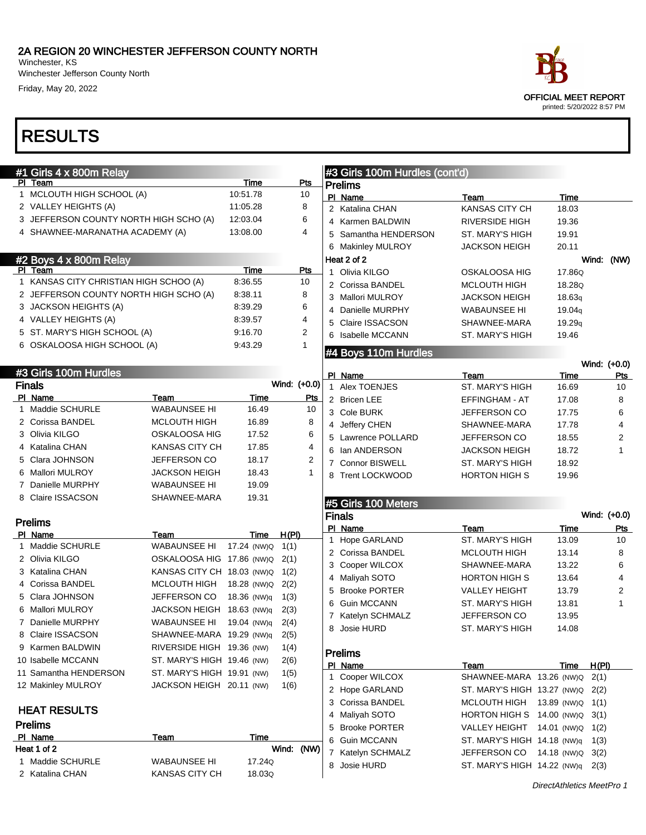Winchester, KS Winchester Jefferson County North Friday, May 20, 2022

## RESULTS

|   | #1 Girls 4 x 800m Relay                |                                 |             |              |              | #3 Girls 100m Hurdles (cont'd)    |                                              |               |                     |
|---|----------------------------------------|---------------------------------|-------------|--------------|--------------|-----------------------------------|----------------------------------------------|---------------|---------------------|
|   | PI Team                                |                                 | Time        | Pts          |              | <b>Prelims</b>                    |                                              |               |                     |
|   | 1 MCLOUTH HIGH SCHOOL (A)              |                                 | 10:51.78    | 10           |              | PI Name                           | Team                                         | Time          |                     |
|   | 2 VALLEY HEIGHTS (A)                   |                                 | 11:05.28    | 8            |              | 2 Katalina CHAN                   | <b>KANSAS CITY CH</b>                        | 18.03         |                     |
|   | 3 JEFFERSON COUNTY NORTH HIGH SCHO (A) |                                 | 12:03.04    | 6            |              | 4 Karmen BALDWIN                  | <b>RIVERSIDE HIGH</b>                        | 19.36         |                     |
|   | 4 SHAWNEE-MARANATHA ACADEMY (A)        |                                 | 13:08.00    | 4            | 5            | Samantha HENDERSON                | ST. MARY'S HIGH                              | 19.91         |                     |
|   |                                        |                                 |             |              |              | 6 Makinley MULROY                 | <b>JACKSON HEIGH</b>                         | 20.11         |                     |
|   | #2 Boys 4 x 800m Relay                 |                                 |             |              |              | Heat 2 of 2                       |                                              |               | Wind: (NW)          |
|   | PI Team                                |                                 | Time        | Pts          | $\mathbf{1}$ | Olivia KILGO                      | OSKALOOSA HIG                                | 17.86Q        |                     |
|   | 1 KANSAS CITY CHRISTIAN HIGH SCHOO (A) |                                 | 8:36.55     | 10           |              | 2 Corissa BANDEL                  | <b>MCLOUTH HIGH</b>                          | 18.28Q        |                     |
|   | 2 JEFFERSON COUNTY NORTH HIGH SCHO (A) |                                 | 8:38.11     | 8            |              | 3 Mallori MULROY                  | <b>JACKSON HEIGH</b>                         | 18.63q        |                     |
|   | 3 JACKSON HEIGHTS (A)                  |                                 | 8:39.29     | 6            |              | 4 Danielle MURPHY                 | <b>WABAUNSEE HI</b>                          | 19.04q        |                     |
|   | 4 VALLEY HEIGHTS (A)                   |                                 | 8:39.57     | 4            | 5            | <b>Claire ISSACSON</b>            | SHAWNEE-MARA                                 | 19.29q        |                     |
|   | 5 ST. MARY'S HIGH SCHOOL (A)           |                                 | 9:16.70     | 2            |              | 6 Isabelle MCCANN                 | ST. MARY'S HIGH                              | 19.46         |                     |
|   | 6 OSKALOOSA HIGH SCHOOL (A)            |                                 | 9:43.29     | 1            |              |                                   |                                              |               |                     |
|   |                                        |                                 |             |              |              | #4 Boys 110m Hurdles              |                                              |               |                     |
|   | #3 Girls 100m Hurdles                  |                                 |             |              |              | PI Name                           |                                              |               | Wind: (+0.0)<br>Pts |
|   | <b>Finals</b>                          |                                 |             | Wind: (+0.0) |              | 1 Alex TOENJES                    | Team<br><b>ST. MARY'S HIGH</b>               | Time<br>16.69 | 10                  |
|   | PI Name                                | Team                            | Time        | Pts          |              | 2 Bricen LEE                      | EFFINGHAM - AT                               | 17.08         | 8                   |
|   | 1 Maddie SCHURLE                       | <b>WABAUNSEE HI</b>             | 16.49       | 10           |              | 3 Cole BURK                       | JEFFERSON CO                                 | 17.75         | 6                   |
|   | 2 Corissa BANDEL                       | <b>MCLOUTH HIGH</b>             | 16.89       | 8            |              | 4 Jeffery CHEN                    | SHAWNEE-MARA                                 | 17.78         | 4                   |
|   | 3 Olivia KILGO                         | OSKALOOSA HIG                   | 17.52       | 6            |              | 5 Lawrence POLLARD                | <b>JEFFERSON CO</b>                          | 18.55         | $\overline{c}$      |
|   | 4 Katalina CHAN                        | <b>KANSAS CITY CH</b>           | 17.85       | 4            |              | 6 Ian ANDERSON                    | JACKSON HEIGH                                | 18.72         | 1                   |
|   | 5 Clara JOHNSON                        | JEFFERSON CO                    | 18.17       | 2            |              | 7 Connor BISWELL                  | <b>ST. MARY'S HIGH</b>                       | 18.92         |                     |
|   | 6 Mallori MULROY                       | JACKSON HEIGH                   | 18.43       | 1            |              | 8 Trent LOCKWOOD                  | <b>HORTON HIGH S</b>                         | 19.96         |                     |
|   | 7 Danielle MURPHY                      | <b>WABAUNSEE HI</b>             | 19.09       |              |              |                                   |                                              |               |                     |
|   | 8 Claire ISSACSON                      | SHAWNEE-MARA                    | 19.31       |              |              |                                   |                                              |               |                     |
|   |                                        |                                 |             |              |              | #5 Girls 100 Meters               |                                              |               |                     |
|   | <b>Prelims</b>                         |                                 |             |              |              | <b>Finals</b>                     |                                              |               | Wind: (+0.0)        |
|   | PI Name                                | Team                            | Time        | H(PI)        |              | PI Name<br>1 Hope GARLAND         | Team<br>ST. MARY'S HIGH                      | Time<br>13.09 | <u>Pts</u><br>10    |
|   | 1 Maddie SCHURLE                       | WABAUNSEE HI                    | 17.24 (NW)Q | 1(1)         |              | 2 Corissa BANDEL                  | <b>MCLOUTH HIGH</b>                          | 13.14         | 8                   |
|   | 2 Olivia KILGO                         | OSKALOOSA HIG 17.86 (NW)Q       |             | 2(1)         |              | 3 Cooper WILCOX                   | SHAWNEE-MARA                                 | 13.22         | 6                   |
|   | 3 Katalina CHAN                        | KANSAS CITY CH 18.03 (NW)Q 1(2) |             |              |              |                                   |                                              | 13.64         | 4                   |
|   | 4 Corissa BANDEL                       | <b>MCLOUTH HIGH</b>             | 18.28 (NW)Q | 2(2)         |              | 4 Maliyah SOTO<br>5 Brooke PORTER | <b>HORTON HIGH S</b><br><b>VALLEY HEIGHT</b> | 13.79         | $\overline{c}$      |
|   | 5 Clara JOHNSON                        | JEFFERSON CO                    | 18.36 (NW)q | 1(3)         | 6            | <b>Guin MCCANN</b>                | ST. MARY'S HIGH                              | 13.81         | 1                   |
|   | 6 Mallori MULROY                       | JACKSON HEIGH                   | 18.63 (NW)g | 2(3)         |              | 7 Katelyn SCHMALZ                 | JEFFERSON CO                                 | 13.95         |                     |
|   | 7 Danielle MURPHY                      | <b>WABAUNSEE HI</b>             | 19.04 (NW)q | 2(4)         |              | 8 Josie HURD                      | ST. MARY'S HIGH                              | 14.08         |                     |
| 8 | Claire ISSACSON                        | SHAWNEE-MARA 19.29 (NW)q        |             | 2(5)         |              |                                   |                                              |               |                     |
|   | 9 Karmen BALDWIN                       | RIVERSIDE HIGH 19.36 (NW)       |             | 1(4)         |              | <b>Prelims</b>                    |                                              |               |                     |
|   | 10 Isabelle MCCANN                     | ST. MARY'S HIGH 19.46 (NW)      |             | 2(6)         |              | PI Name                           | Team                                         | Time          | H(PI)               |
|   | 11 Samantha HENDERSON                  | ST. MARY'S HIGH 19.91 (NW)      |             | 1(5)         |              | 1 Cooper WILCOX                   | SHAWNEE-MARA 13.26 (NW)Q                     |               | 2(1)                |
|   | 12 Makinley MULROY                     | JACKSON HEIGH 20.11 (NW)        |             | 1(6)         |              | 2 Hope GARLAND                    | ST. MARY'S HIGH 13.27 (NW)Q                  |               | 2(2)                |
|   |                                        |                                 |             |              |              | 3 Corissa BANDEL                  | <b>MCLOUTH HIGH</b>                          | 13.89 (NW)Q   | 1(1)                |
|   | <b>HEAT RESULTS</b>                    |                                 |             |              |              | 4 Maliyah SOTO                    | HORTON HIGH S 14.00 (NW)Q                    |               | 3(1)                |
|   | <b>Prelims</b>                         |                                 |             |              |              | 5 Brooke PORTER                   | VALLEY HEIGHT 14.01 (NW)Q                    |               | 1(2)                |
|   | PI Name                                | Team                            | Time        |              | 6            | <b>Guin MCCANN</b>                | ST. MARY'S HIGH 14.18 (NW)q                  |               | 1(3)                |
|   | Heat 1 of 2                            |                                 |             | Wind: (NW)   |              | 7 Katelyn SCHMALZ                 | JEFFERSON CO                                 | 14.18 (NW)Q   | 3(2)                |
|   | 1 Maddie SCHURLE                       | WABAUNSEE HI                    | 17.24Q      |              |              | 8 Josie HURD                      | ST. MARY'S HIGH 14.22 (NW)q                  |               | 2(3)                |
|   | 2 Katalina CHAN                        | KANSAS CITY CH                  | 18.03Q      |              |              |                                   |                                              |               |                     |
|   |                                        |                                 |             |              |              |                                   |                                              |               |                     |



printed: 5/20/2022 8:57 PM

DirectAthletics MeetPro 1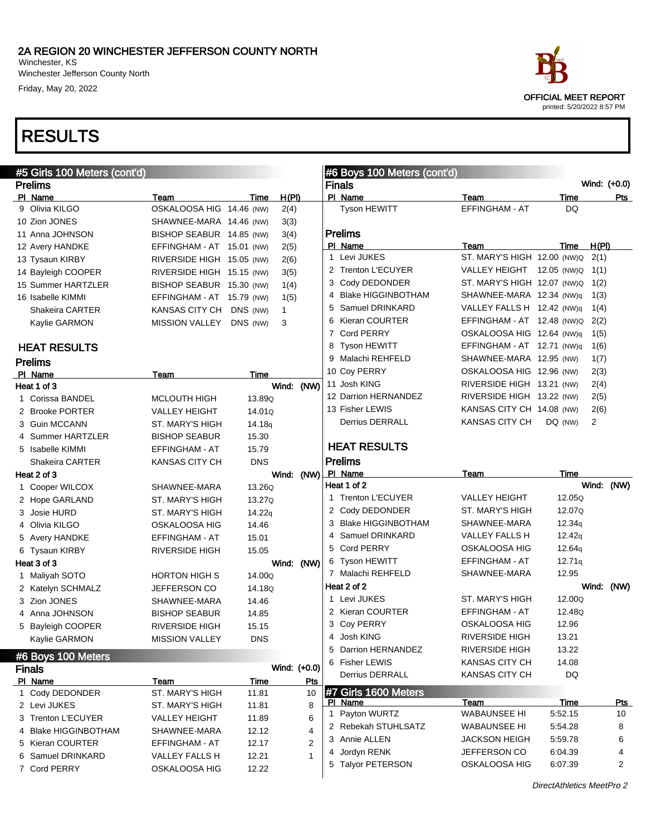Winchester Jefferson County North Friday, May 20, 2022

### RESULTS

| #5 Girls 100 Meters (cont'd) |                           |                    |              |     | #6 Boys 100 Meters (cont'd) |                             |         |       |                |
|------------------------------|---------------------------|--------------------|--------------|-----|-----------------------------|-----------------------------|---------|-------|----------------|
| <b>Prelims</b>               |                           |                    |              |     | <b>Finals</b>               |                             |         |       | Wind: (+0.0)   |
| PI Name                      | Team                      | Time               | H(PI)        |     | PI Name                     | Team                        | Time    |       | Pts            |
| 9 Olivia KILGO               | OSKALOOSA HIG 14.46 (NW)  |                    | 2(4)         |     | Tyson HEWITT                | EFFINGHAM - AT              | DQ      |       |                |
| 10 Zion JONES                | SHAWNEE-MARA 14.46 (NW)   |                    | 3(3)         |     |                             |                             |         |       |                |
| 11 Anna JOHNSON              | BISHOP SEABUR 14.85 (NW)  |                    | 3(4)         |     | <b>Prelims</b>              |                             |         |       |                |
| 12 Avery HANDKE              | EFFINGHAM - AT 15.01 (NW) |                    | 2(5)         |     | PI Name                     | Team                        | Time    | H(PI) |                |
| 13 Tysaun KIRBY              | RIVERSIDE HIGH 15.05 (NW) |                    | 2(6)         |     | 1 Levi JUKES                | ST. MARY'S HIGH 12.00 (NW)Q |         | 2(1)  |                |
| 14 Bayleigh COOPER           | RIVERSIDE HIGH 15.15 (NW) |                    | 3(5)         |     | 2 Trenton L'ECUYER          | VALLEY HEIGHT 12.05 (NW)Q   |         | 1(1)  |                |
| 15 Summer HARTZLER           | BISHOP SEABUR 15.30 (NW)  |                    | 1(4)         |     | 3 Cody DEDONDER             | ST. MARY'S HIGH 12.07 (NW)Q |         | 1(2)  |                |
| 16 Isabelle KIMMI            | EFFINGHAM - AT 15.79 (NW) |                    | 1(5)         |     | 4 Blake HIGGINBOTHAM        | SHAWNEE-MARA 12.34 (NW)q    |         | 1(3)  |                |
| <b>Shakeira CARTER</b>       | KANSAS CITY CH            | DNS (NW)           | $\mathbf{1}$ |     | 5 Samuel DRINKARD           | VALLEY FALLS H 12.42 (NW)q  |         | 1(4)  |                |
| Kaylie GARMON                | <b>MISSION VALLEY</b>     | DNS (NW)           | 3            |     | 6 Kieran COURTER            | EFFINGHAM - AT 12.48 (NW)Q  |         | 2(2)  |                |
|                              |                           |                    |              |     | 7 Cord PERRY                | OSKALOOSA HIG 12.64 (NW)q   |         | 1(5)  |                |
| <b>HEAT RESULTS</b>          |                           |                    |              |     | 8 Tyson HEWITT              | EFFINGHAM - AT 12.71 (NW)q  |         | 1(6)  |                |
| <b>Prelims</b>               |                           |                    |              |     | 9 Malachi REHFELD           | SHAWNEE-MARA 12.95 (NW)     |         | 1(7)  |                |
| PI Name                      | Team                      | Time               |              |     | 10 Coy PERRY                | OSKALOOSA HIG 12.96 (NW)    |         | 2(3)  |                |
| Heat 1 of 3                  |                           |                    | Wind: (NW)   |     | 11 Josh KING                | RIVERSIDE HIGH 13.21 (NW)   |         | 2(4)  |                |
| 1 Corissa BANDEL             | <b>MCLOUTH HIGH</b>       | 13.89Q             |              |     | 12 Darrion HERNANDEZ        | RIVERSIDE HIGH 13.22 (NW)   |         | 2(5)  |                |
| 2 Brooke PORTER              | <b>VALLEY HEIGHT</b>      | 14.01Q             |              |     | 13 Fisher LEWIS             | KANSAS CITY CH 14.08 (NW)   |         | 2(6)  |                |
| 3 Guin MCCANN                | ST. MARY'S HIGH           | 14.18 <sub>q</sub> |              |     | Derrius DERRALL             | KANSAS CITY CH              | DQ (NW) | 2     |                |
| 4 Summer HARTZLER            | <b>BISHOP SEABUR</b>      | 15.30              |              |     |                             |                             |         |       |                |
| 5 Isabelle KIMMI             | EFFINGHAM - AT            | 15.79              |              |     | <b>HEAT RESULTS</b>         |                             |         |       |                |
| <b>Shakeira CARTER</b>       | <b>KANSAS CITY CH</b>     | <b>DNS</b>         |              |     | <b>Prelims</b>              |                             |         |       |                |
| Heat 2 of 3                  |                           |                    | Wind: (NW)   |     | PI Name                     | Team                        | Time    |       |                |
| 1 Cooper WILCOX              | SHAWNEE-MARA              | 13.26Q             |              |     | Heat 1 of 2                 |                             |         |       | Wind: (NW)     |
| 2 Hope GARLAND               | ST. MARY'S HIGH           | 13.27Q             |              |     | 1 Trenton L'ECUYER          | <b>VALLEY HEIGHT</b>        | 12.05Q  |       |                |
| 3 Josie HURD                 | ST. MARY'S HIGH           | 14.22q             |              |     | 2 Cody DEDONDER             | ST. MARY'S HIGH             | 12.07Q  |       |                |
| 4 Olivia KILGO               | OSKALOOSA HIG             | 14.46              |              |     | 3 Blake HIGGINBOTHAM        | SHAWNEE-MARA                | 12.34q  |       |                |
| 5 Avery HANDKE               | EFFINGHAM - AT            | 15.01              |              |     | 4 Samuel DRINKARD           | VALLEY FALLS H              | 12.42q  |       |                |
| 6 Tysaun KIRBY               | <b>RIVERSIDE HIGH</b>     | 15.05              |              |     | 5 Cord PERRY                | OSKALOOSA HIG               | 12.64g  |       |                |
| Heat 3 of 3                  |                           |                    | Wind: (NW)   |     | 6 Tyson HEWITT              | EFFINGHAM - AT              | 12.71q  |       |                |
| 1 Maliyah SOTO               | <b>HORTON HIGH S</b>      | 14.00Q             |              |     | 7 Malachi REHFELD           | SHAWNEE-MARA                | 12.95   |       |                |
| 2 Katelyn SCHMALZ            | JEFFERSON CO              | 14.18Q             |              |     | Heat 2 of 2                 |                             |         |       | Wind: (NW)     |
| 3 Zion JONES                 | SHAWNEE-MARA              | 14.46              |              |     | 1 Levi JUKES                | ST. MARY'S HIGH             | 12.00Q  |       |                |
| 4 Anna JOHNSON               | <b>BISHOP SEABUR</b>      | 14.85              |              |     | 2 Kieran COURTER            | EFFINGHAM - AT              | 12.48Q  |       |                |
| 5 Bayleigh COOPER            | <b>RIVERSIDE HIGH</b>     | 15.15              |              |     | 3 Coy PERRY                 | OSKALOOSA HIG               | 12.96   |       |                |
| Kaylie GARMON                | <b>MISSION VALLEY</b>     | <b>DNS</b>         |              |     | 4 Josh KING                 | RIVERSIDE HIGH              | 13.21   |       |                |
| #6 Boys 100 Meters           |                           |                    |              |     | 5 Darrion HERNANDEZ         | RIVERSIDE HIGH              | 13.22   |       |                |
| <b>Finals</b>                |                           |                    | Wind: (+0.0) |     | 6 Fisher LEWIS              | KANSAS CITY CH              | 14.08   |       |                |
| PI Name                      | Team                      | Time               |              | Pts | Derrius DERRALL             | KANSAS CITY CH              | DQ      |       |                |
| 1 Cody DEDONDER              | ST. MARY'S HIGH           | 11.81              |              | 10  | #7 Girls 1600 Meters        |                             |         |       |                |
| 2 Levi JUKES                 | ST. MARY'S HIGH           | 11.81              |              | 8   | PI Name                     | Team                        | Time    |       | <u>Pts</u>     |
| 3 Trenton L'ECUYER           | VALLEY HEIGHT             | 11.89              |              | 6   | 1 Payton WURTZ              | <b>WABAUNSEE HI</b>         | 5:52.15 |       | 10             |
| 4 Blake HIGGINBOTHAM         | SHAWNEE-MARA              | 12.12              |              | 4   | 2 Rebekah STUHLSATZ         | <b>WABAUNSEE HI</b>         | 5:54.28 |       | 8              |
| 5 Kieran COURTER             | EFFINGHAM - AT            | 12.17              |              | 2   | 3 Annie ALLEN               | <b>JACKSON HEIGH</b>        | 5:59.78 |       | 6              |
| 6 Samuel DRINKARD            | VALLEY FALLS H            | 12.21              |              | 1   | 4 Jordyn RENK               | JEFFERSON CO                | 6:04.39 |       | 4              |
| 7 Cord PERRY                 | OSKALOOSA HIG             | 12.22              |              |     | 5 Talvor PETERSON           | OSKALOOSA HIG               | 6:07.39 |       | $\overline{2}$ |
|                              |                           |                    |              |     |                             |                             |         |       |                |



DirectAthletics MeetPro 2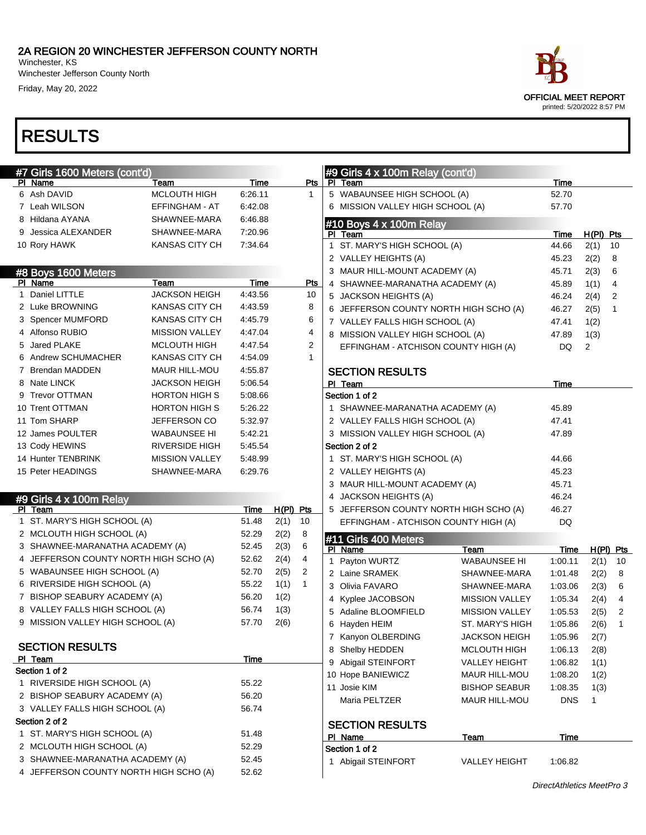Winchester Jefferson County North Friday, May 20, 2022

| #7 Girls 1600 Meters (cont'd)                             |                              |                    |           |              |              | #9 Girls 4 x 100m Relay (cont'd)                                |                       |                           |              |             |
|-----------------------------------------------------------|------------------------------|--------------------|-----------|--------------|--------------|-----------------------------------------------------------------|-----------------------|---------------------------|--------------|-------------|
| PI Name                                                   | Team<br>MCLOUTH HIGH         | Time               |           | Pts          |              | PI Team                                                         |                       | Time                      |              |             |
| 6 Ash DAVID                                               |                              | 6.26.11            |           | $\mathbf{1}$ |              | 5 WABAUNSEE HIGH SCHOOL (A)                                     |                       | 52.70                     |              |             |
| 7 Leah WILSON                                             | EFFINGHAM - AT               | 6.42.08            |           |              |              | 6 MISSION VALLEY HIGH SCHOOL (A)                                |                       | 57.70                     |              |             |
| 8 Hildana AYANA<br>9 Jessica ALEXANDER                    | SHAWNEE-MARA<br>SHAWNEE-MARA | 6:46.88<br>7.20.96 |           |              |              | #10 Boys 4 x 100m Relay                                         |                       |                           |              |             |
|                                                           | KANSAS CITY CH               | 7.34.64            |           |              |              | PI Team                                                         |                       | Time                      | $H(PI)$ Pts  |             |
| 10 Rory HAWK                                              |                              |                    |           |              | $\mathbf{1}$ | ST. MARY'S HIGH SCHOOL (A)                                      |                       | 44.66                     | 2(1)         | 10          |
|                                                           |                              |                    |           |              |              | 2 VALLEY HEIGHTS (A)                                            |                       | 45.23                     | 2(2)         | 8           |
| #8 Boys 1600 Meters<br>PI Name                            | Team                         | <b>Time</b>        |           | Pts          |              | 3 MAUR HILL-MOUNT ACADEMY (A)                                   |                       | 45.71                     | 2(3)         | 6           |
| 1 Daniel LITTLE                                           | <b>JACKSON HEIGH</b>         | 4:43.56            |           | 10           |              | 4 SHAWNEE-MARANATHA ACADEMY (A)                                 |                       | 45.89<br>46.24            | 1(1)         | 4<br>2      |
| 2 Luke BROWNING                                           | <b>KANSAS CITY CH</b>        | 4:43.59            |           | 8            |              | 5 JACKSON HEIGHTS (A)<br>6 JEFFERSON COUNTY NORTH HIGH SCHO (A) |                       | 46.27                     | 2(4)<br>2(5) | 1           |
| 3 Spencer MUMFORD                                         | KANSAS CITY CH               | 4:45.79            |           | 6            |              | 7 VALLEY FALLS HIGH SCHOOL (A)                                  |                       | 47.41                     | 1(2)         |             |
| 4 Alfonso RUBIO                                           | <b>MISSION VALLEY</b>        | 4:47.04            |           | 4            |              | 8 MISSION VALLEY HIGH SCHOOL (A)                                |                       | 47.89                     | 1(3)         |             |
| 5 Jared PLAKE                                             | <b>MCLOUTH HIGH</b>          | 4:47.54            |           | 2            |              | EFFINGHAM - ATCHISON COUNTY HIGH (A)                            |                       | <b>DQ</b>                 | 2            |             |
| 6 Andrew SCHUMACHER                                       | KANSAS CITY CH               | 4:54.09            |           | $\mathbf{1}$ |              |                                                                 |                       |                           |              |             |
| 7 Brendan MADDEN                                          | <b>MAUR HILL-MOU</b>         | 4:55.87            |           |              |              | <b>SECTION RESULTS</b>                                          |                       |                           |              |             |
| 8 Nate LINCK                                              | <b>JACKSON HEIGH</b>         | 5:06.54            |           |              |              | PI Team                                                         |                       | Time                      |              |             |
| 9 Trevor OTTMAN                                           | <b>HORTON HIGH S</b>         | 5:08.66            |           |              |              | Section 1 of 2                                                  |                       |                           |              |             |
| 10 Trent OTTMAN                                           | <b>HORTON HIGH S</b>         | 5:26.22            |           |              |              | 1 SHAWNEE-MARANATHA ACADEMY (A)                                 |                       | 45.89                     |              |             |
| 11 Tom SHARP                                              | JEFFERSON CO                 | 5:32.97            |           |              |              | 2 VALLEY FALLS HIGH SCHOOL (A)                                  |                       | 47.41                     |              |             |
| 12 James POULTER                                          | <b>WABAUNSEE HI</b>          | 5:42.21            |           |              |              | 3 MISSION VALLEY HIGH SCHOOL (A)                                |                       | 47.89                     |              |             |
| 13 Cody HEWINS                                            | <b>RIVERSIDE HIGH</b>        | 5:45.54            |           |              |              | Section 2 of 2                                                  |                       |                           |              |             |
| 14 Hunter TENBRINK                                        | <b>MISSION VALLEY</b>        | 5.48.99            |           |              |              | 1 ST. MARY'S HIGH SCHOOL (A)                                    |                       | 44.66                     |              |             |
| 15 Peter HEADINGS                                         | SHAWNEE-MARA                 | 6:29.76            |           |              |              | 2 VALLEY HEIGHTS (A)                                            |                       | 45.23                     |              |             |
|                                                           |                              |                    |           |              |              | 3 MAUR HILL-MOUNT ACADEMY (A)                                   |                       | 45.71                     |              |             |
| #9 Girls 4 x 100m Relay                                   |                              |                    |           |              |              | 4 JACKSON HEIGHTS (A)                                           |                       | 46.24                     |              |             |
| PI Team                                                   |                              | Time               | H(PI) Pts |              |              | 5 JEFFERSON COUNTY NORTH HIGH SCHO (A)                          |                       | 46.27                     |              |             |
| 1 ST. MARY'S HIGH SCHOOL (A)                              |                              | 51.48              | 2(1)      | 10           |              | EFFINGHAM - ATCHISON COUNTY HIGH (A)                            |                       | DQ                        |              |             |
| 2 MCLOUTH HIGH SCHOOL (A)                                 |                              | 52.29              | 2(2)      | 8            |              | #11 Girls 400 Meters                                            |                       |                           |              |             |
| 3 SHAWNEE-MARANATHA ACADEMY (A)                           |                              | 52.45              | 2(3)      | 6            |              | PI Name                                                         | Team                  | Time                      |              | $H(PI)$ Pts |
| 4 JEFFERSON COUNTY NORTH HIGH SCHO (A)                    |                              | 52.62              | 2(4)      | 4            |              | 1 Payton WURTZ                                                  | <b>WABAUNSEE HI</b>   | 1:00.11                   | 2(1)         | 10          |
| 5 WABAUNSEE HIGH SCHOOL (A)                               |                              | 52.70              | 2(5)      | 2            |              | 2 Laine SRAMEK                                                  | SHAWNEE-MARA          | 1:01.48                   | 2(2)         | 8           |
| 6 RIVERSIDE HIGH SCHOOL (A)                               |                              | 55.22              | 1(1)      | $\mathbf{1}$ |              | 3 Olivia FAVARO                                                 | SHAWNEE-MARA          | 1:03.06                   | 2(3)         | 6           |
| 7 BISHOP SEABURY ACADEMY (A)                              |                              | 56.20              | 1(2)      |              |              | 4 Kyplee JACOBSON                                               | <b>MISSION VALLEY</b> | 1:05.34                   | 2(4)         | 4           |
| 8 VALLEY FALLS HIGH SCHOOL (A)                            |                              | 56.74              | 1(3)      |              |              | 5 Adaline BLOOMFIELD                                            | <b>MISSION VALLEY</b> | 1:05.53                   | 2(5)         | 2           |
| 9 MISSION VALLEY HIGH SCHOOL (A)                          |                              | 57.70              | 2(6)      |              |              | 6 Hayden HEIM                                                   | ST. MARY'S HIGH       | 1:05.86                   | 2(6)         | 1           |
|                                                           |                              |                    |           |              |              | 7 Kanyon OLBERDING                                              | <b>JACKSON HEIGH</b>  | 1:05.96                   | 2(7)         |             |
| <b>SECTION RESULTS</b>                                    |                              |                    |           |              |              | 8 Shelby HEDDEN                                                 | <b>MCLOUTH HIGH</b>   | 1:06.13                   | 2(8)         |             |
| PI Team                                                   |                              | <b>Time</b>        |           |              |              | 9 Abigail STEINFORT                                             | <b>VALLEY HEIGHT</b>  | 1:06.82                   | 1(1)         |             |
| Section 1 of 2                                            |                              |                    |           |              |              | 10 Hope BANIEWICZ                                               | MAUR HILL-MOU         | 1:08.20                   | 1(2)         |             |
| 1 RIVERSIDE HIGH SCHOOL (A)                               |                              | 55.22              |           |              |              | 11 Josie KIM                                                    | <b>BISHOP SEABUR</b>  | 1:08.35                   | 1(3)         |             |
| 2 BISHOP SEABURY ACADEMY (A)                              |                              | 56.20              |           |              |              | Maria PELTZER                                                   | MAUR HILL-MOU         | <b>DNS</b>                | 1            |             |
| 3 VALLEY FALLS HIGH SCHOOL (A)                            |                              | 56.74              |           |              |              |                                                                 |                       |                           |              |             |
| Section 2 of 2                                            |                              |                    |           |              |              | <b>SECTION RESULTS</b>                                          |                       |                           |              |             |
| 1 ST. MARY'S HIGH SCHOOL (A)<br>2 MCLOUTH HIGH SCHOOL (A) |                              | 51.48<br>52.29     |           |              |              | PI Name                                                         | Team                  | Time                      |              |             |
| 3 SHAWNEE-MARANATHA ACADEMY (A)                           |                              |                    |           |              |              | Section 1 of 2                                                  |                       |                           |              |             |
| 4 JEFFERSON COUNTY NORTH HIGH SCHO (A)                    |                              | 52.45<br>52.62     |           |              |              | 1 Abigail STEINFORT                                             | <b>VALLEY HEIGHT</b>  | 1:06.82                   |              |             |
|                                                           |                              |                    |           |              |              |                                                                 |                       | DirootAthlotion MootDro 2 |              |             |

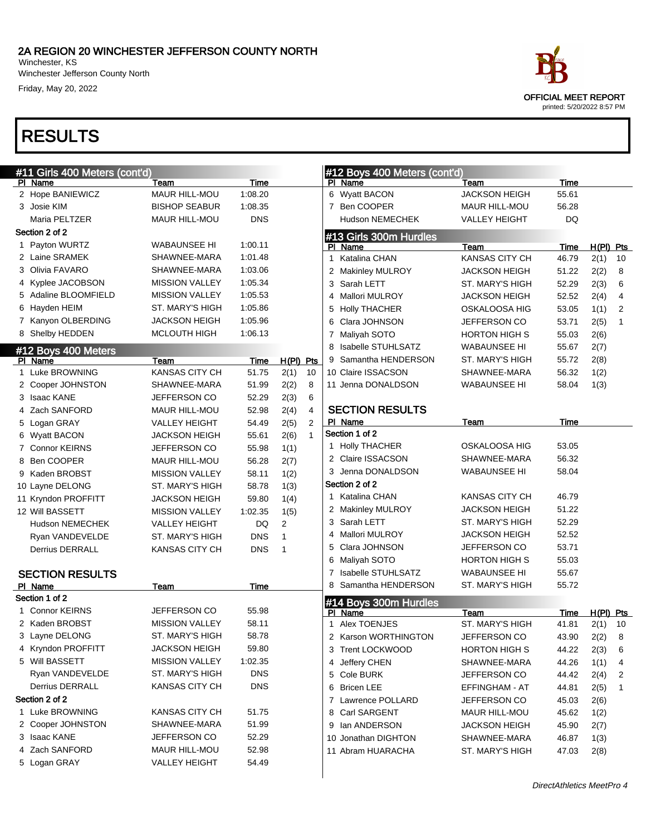Winchester Jefferson County North Friday, May 20, 2022

| #11 Girls 400 Meters (cont'd) |                       |            |                |              |              | #12 Boys 400 Meters (cont'd) |                       |           |           |    |  |
|-------------------------------|-----------------------|------------|----------------|--------------|--------------|------------------------------|-----------------------|-----------|-----------|----|--|
| PI Name                       | Team                  | Time       |                |              |              | PI Name                      | Team                  | Time      |           |    |  |
| 2 Hope BANIEWICZ              | MAUR HILL-MOU         | 1:08.20    |                |              |              | 6 Wyatt BACON                | <b>JACKSON HEIGH</b>  | 55.61     |           |    |  |
| 3 Josie KIM                   | <b>BISHOP SEABUR</b>  | 1:08.35    |                |              |              | 7 Ben COOPER                 | MAUR HILL-MOU         | 56.28     |           |    |  |
| Maria PELTZER                 | MAUR HILL-MOU         | <b>DNS</b> |                |              |              | Hudson NEMECHEK              | <b>VALLEY HEIGHT</b>  | <b>DQ</b> |           |    |  |
| Section 2 of 2                |                       |            |                |              |              | #13 Girls 300m Hurdles       |                       |           |           |    |  |
| 1 Payton WURTZ                | WABAUNSEE HI          | 1:00.11    |                |              |              | PI Name                      | Team                  | Time      | H(PI) Pts |    |  |
| 2 Laine SRAMEK                | SHAWNEE-MARA          | 1:01.48    |                |              | $\mathbf{1}$ | Katalina CHAN                | <b>KANSAS CITY CH</b> | 46.79     | 2(1)      | 10 |  |
| 3 Olivia FAVARO               | SHAWNEE-MARA          | 1:03.06    |                |              |              | 2 Makinley MULROY            | <b>JACKSON HEIGH</b>  | 51.22     | 2(2)      | 8  |  |
| 4 Kyplee JACOBSON             | <b>MISSION VALLEY</b> | 1:05.34    |                |              |              | 3 Sarah LETT                 | ST. MARY'S HIGH       | 52.29     | 2(3)      | 6  |  |
| 5 Adaline BLOOMFIELD          | <b>MISSION VALLEY</b> | 1:05.53    |                |              |              | 4 Mallori MULROY             | <b>JACKSON HEIGH</b>  | 52.52     | 2(4)      | 4  |  |
| 6 Hayden HEIM                 | ST. MARY'S HIGH       | 1:05.86    |                |              |              | 5 Holly THACHER              | OSKALOOSA HIG         | 53.05     | 1(1)      | 2  |  |
| 7 Kanyon OLBERDING            | <b>JACKSON HEIGH</b>  | 1:05.96    |                |              |              | 6 Clara JOHNSON              | JEFFERSON CO          | 53.71     | 2(5)      | 1  |  |
| 8 Shelby HEDDEN               | <b>MCLOUTH HIGH</b>   | 1:06.13    |                |              |              | 7 Maliyah SOTO               | <b>HORTON HIGH S</b>  | 55.03     | 2(6)      |    |  |
| #12 Boys 400 Meters           |                       |            |                |              |              | 8 Isabelle STUHLSATZ         | <b>WABAUNSEE HI</b>   | 55.67     | 2(7)      |    |  |
| PI Name                       | Team                  | Time       | $H(PI)$ Pts    |              |              | 9 Samantha HENDERSON         | ST. MARY'S HIGH       | 55.72     | 2(8)      |    |  |
| 1 Luke BROWNING               | <b>KANSAS CITY CH</b> | 51.75      | 2(1)           | 10           |              | 10 Claire ISSACSON           | SHAWNEE-MARA          | 56.32     | 1(2)      |    |  |
| 2 Cooper JOHNSTON             | SHAWNEE-MARA          | 51.99      | 2(2)           | 8            |              | 11 Jenna DONALDSON           | WABAUNSEE HI          | 58.04     | 1(3)      |    |  |
| 3 Isaac KANE                  | JEFFERSON CO          | 52.29      | 2(3)           | 6            |              |                              |                       |           |           |    |  |
| 4 Zach SANFORD                | MAUR HILL-MOU         | 52.98      | 2(4)           | 4            |              | <b>SECTION RESULTS</b>       |                       |           |           |    |  |
| 5 Logan GRAY                  | <b>VALLEY HEIGHT</b>  | 54.49      | 2(5)           | 2            |              | PI Name                      | Team                  | Time      |           |    |  |
| 6 Wyatt BACON                 | <b>JACKSON HEIGH</b>  | 55.61      | 2(6)           | $\mathbf{1}$ |              | Section 1 of 2               |                       |           |           |    |  |
| 7 Connor KEIRNS               | JEFFERSON CO          | 55.98      | 1(1)           |              |              | 1 Holly THACHER              | OSKALOOSA HIG         | 53.05     |           |    |  |
| 8 Ben COOPER                  | MAUR HILL-MOU         | 56.28      | 2(7)           |              |              | 2 Claire ISSACSON            | SHAWNEE-MARA          | 56.32     |           |    |  |
| 9 Kaden BROBST                | <b>MISSION VALLEY</b> | 58.11      | 1(2)           |              |              | 3 Jenna DONALDSON            | <b>WABAUNSEE HI</b>   | 58.04     |           |    |  |
| 10 Layne DELONG               | ST. MARY'S HIGH       | 58.78      | 1(3)           |              |              | Section 2 of 2               |                       |           |           |    |  |
| 11 Kryndon PROFFITT           | <b>JACKSON HEIGH</b>  | 59.80      | 1(4)           |              |              | 1 Katalina CHAN              | <b>KANSAS CITY CH</b> | 46.79     |           |    |  |
| 12 Will BASSETT               | <b>MISSION VALLEY</b> | 1:02.35    | 1(5)           |              |              | 2 Makinley MULROY            | JACKSON HEIGH         | 51.22     |           |    |  |
| <b>Hudson NEMECHEK</b>        | <b>VALLEY HEIGHT</b>  | DQ         | $\overline{2}$ |              |              | 3 Sarah LETT                 | ST. MARY'S HIGH       | 52.29     |           |    |  |
| Ryan VANDEVELDE               | ST. MARY'S HIGH       | <b>DNS</b> | 1              |              |              | 4 Mallori MULROY             | JACKSON HEIGH         | 52.52     |           |    |  |
| <b>Derrius DERRALL</b>        | <b>KANSAS CITY CH</b> | <b>DNS</b> | $\overline{1}$ |              |              | 5 Clara JOHNSON              | JEFFERSON CO          | 53.71     |           |    |  |
|                               |                       |            |                |              |              | 6 Maliyah SOTO               | HORTON HIGH S         | 55.03     |           |    |  |
| <b>SECTION RESULTS</b>        |                       |            |                |              |              | 7 Isabelle STUHLSATZ         | <b>WABAUNSEE HI</b>   | 55.67     |           |    |  |
| PI Name                       | Team                  | Time       |                |              |              | 8 Samantha HENDERSON         | ST. MARY'S HIGH       | 55.72     |           |    |  |
| Section 1 of 2                |                       |            |                |              |              | #14 Boys 300m Hurdles        |                       |           |           |    |  |
| 1 Connor KEIRNS               | JEFFERSON CO          | 55.98      |                |              |              | PI Name                      | Team                  | Time      | H(PI) Pts |    |  |
| 2 Kaden BROBST                | <b>MISSION VALLEY</b> | 58.11      |                |              |              | 1 Alex TOENJES               | ST. MARY'S HIGH       | 41.81     | 2(1)      | 10 |  |
| 3 Layne DELONG                | ST. MARY'S HIGH       | 58.78      |                |              | 2            | <b>Karson WORTHINGTON</b>    | <b>JEFFERSON CO</b>   | 43.90     | 2(2)      | 8  |  |
| 4 Kryndon PROFFITT            | <b>JACKSON HEIGH</b>  | 59.80      |                |              |              | 3 Trent LOCKWOOD             | HORTON HIGH S         | 44.22     | 2(3)      | 6  |  |
| 5 Will BASSETT                | <b>MISSION VALLEY</b> | 1:02.35    |                |              |              | 4 Jeffery CHEN               | SHAWNEE-MARA          | 44.26     | 1(1)      | 4  |  |
| Ryan VANDEVELDE               | ST. MARY'S HIGH       | DNS        |                |              |              | 5 Cole BURK                  | JEFFERSON CO          | 44.42     | 2(4)      | 2  |  |
| Derrius DERRALL               | KANSAS CITY CH        | <b>DNS</b> |                |              |              | 6 Bricen LEE                 | EFFINGHAM - AT        | 44.81     | 2(5)      | 1  |  |
| Section 2 of 2                |                       |            |                |              |              | 7 Lawrence POLLARD           | <b>JEFFERSON CO</b>   | 45.03     | 2(6)      |    |  |
| 1 Luke BROWNING               | KANSAS CITY CH        | 51.75      |                |              |              | 8 Carl SARGENT               | MAUR HILL-MOU         | 45.62     | 1(2)      |    |  |
| 2 Cooper JOHNSTON             | SHAWNEE-MARA          | 51.99      |                |              |              | 9 Ian ANDERSON               | <b>JACKSON HEIGH</b>  | 45.90     | 2(7)      |    |  |
| 3 Isaac KANE                  | JEFFERSON CO          | 52.29      |                |              |              | 10 Jonathan DIGHTON          | SHAWNEE-MARA          | 46.87     | 1(3)      |    |  |
| 4 Zach SANFORD                | MAUR HILL-MOU         | 52.98      |                |              |              | 11 Abram HUARACHA            | ST. MARY'S HIGH       | 47.03     | 2(8)      |    |  |
| 5 Logan GRAY                  | <b>VALLEY HEIGHT</b>  | 54.49      |                |              |              |                              |                       |           |           |    |  |
|                               |                       |            |                |              |              |                              |                       |           |           |    |  |

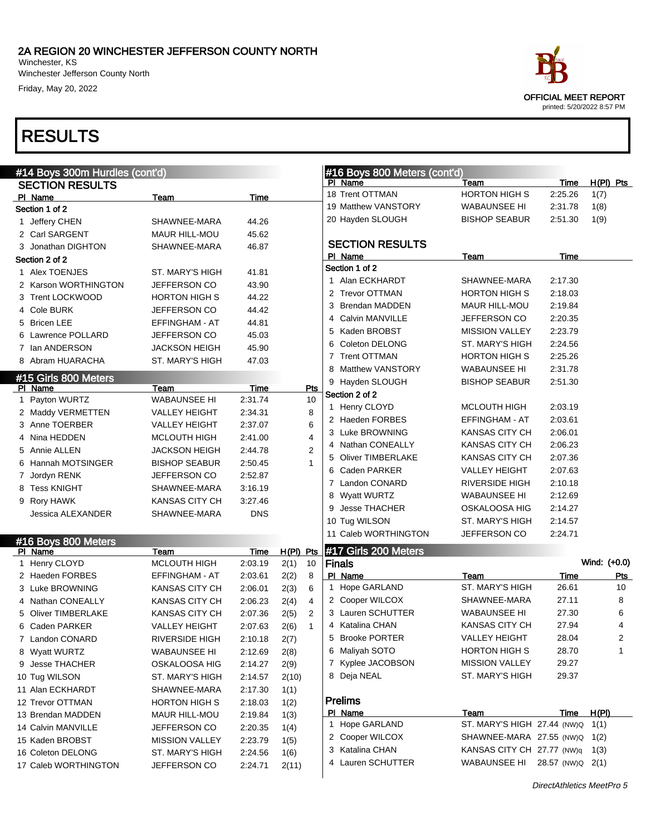Winchester Jefferson County North Friday, May 20, 2022

## RESULTS

| #14 Boys 300m Hurdles (cont'd)  |                       |            |                        |   | #16 Boys 800 Meters (cont'd)         |                               |               |                |
|---------------------------------|-----------------------|------------|------------------------|---|--------------------------------------|-------------------------------|---------------|----------------|
| <b>SECTION RESULTS</b>          |                       |            |                        |   | PI Name                              | Team                          | Time          | $H(PI)$ Pts    |
| PI Name                         | Team                  | Time       |                        |   | 18 Trent OTTMAN                      | <b>HORTON HIGH S</b>          | 2:25.26       | 1(7)           |
| Section 1 of 2                  |                       |            |                        |   | 19 Matthew VANSTORY                  | <b>WABAUNSEE HI</b>           | 2:31.78       | 1(8)           |
| 1 Jeffery CHEN                  | SHAWNEE-MARA          | 44.26      |                        |   | 20 Hayden SLOUGH                     | <b>BISHOP SEABUR</b>          | 2:51.30       | 1(9)           |
| 2 Carl SARGENT                  | MAUR HILL-MOU         | 45.62      |                        |   |                                      |                               |               |                |
| 3 Jonathan DIGHTON              | SHAWNEE-MARA          | 46.87      |                        |   | <b>SECTION RESULTS</b>               |                               |               |                |
| Section 2 of 2                  |                       |            |                        |   | PI Name                              | Team                          | Time          |                |
| 1 Alex TOENJES                  | ST. MARY'S HIGH       | 41.81      |                        |   | Section 1 of 2                       |                               |               |                |
| 2 Karson WORTHINGTON            | JEFFERSON CO          | 43.90      |                        |   | 1 Alan ECKHARDT                      | SHAWNEE-MARA                  | 2:17.30       |                |
| 3 Trent LOCKWOOD                | <b>HORTON HIGH S</b>  | 44.22      |                        |   | 2 Trevor OTTMAN                      | <b>HORTON HIGH S</b>          | 2:18.03       |                |
| 4 Cole BURK                     | JEFFERSON CO          | 44.42      |                        | 3 | <b>Brendan MADDEN</b>                | <b>MAUR HILL-MOU</b>          | 2:19.84       |                |
| 5 Bricen LEE                    | EFFINGHAM - AT        | 44.81      |                        | 4 | <b>Calvin MANVILLE</b>               | JEFFERSON CO                  | 2:20.35       |                |
| 6 Lawrence POLLARD              | JEFFERSON CO          | 45.03      |                        | 5 | Kaden BROBST                         | <b>MISSION VALLEY</b>         | 2:23.79       |                |
| 7 Ian ANDERSON                  | <b>JACKSON HEIGH</b>  | 45.90      |                        | 6 | Coleton DELONG                       | ST. MARY'S HIGH               | 2:24.56       |                |
| 8 Abram HUARACHA                | ST. MARY'S HIGH       | 47.03      |                        |   | 7 Trent OTTMAN                       | <b>HORTON HIGH S</b>          | 2:25.26       |                |
|                                 |                       |            |                        | 8 | <b>Matthew VANSTORY</b>              | <b>WABAUNSEE HI</b>           | 2:31.78       |                |
| #15 Girls 800 Meters<br>PI Name | Team                  | Time       | Pts                    | 9 | Hayden SLOUGH                        | <b>BISHOP SEABUR</b>          | 2:51.30       |                |
| 1 Payton WURTZ                  | <b>WABAUNSEE HI</b>   | 2:31.74    | 10                     |   | Section 2 of 2                       |                               |               |                |
| 2 Maddy VERMETTEN               | <b>VALLEY HEIGHT</b>  | 2:34.31    | 8                      |   | 1 Henry CLOYD                        | <b>MCLOUTH HIGH</b>           | 2:03.19       |                |
| 3 Anne TOERBER                  | <b>VALLEY HEIGHT</b>  | 2:37.07    | 6                      |   | 2 Haeden FORBES                      | EFFINGHAM - AT                | 2:03.61       |                |
| 4 Nina HEDDEN                   | <b>MCLOUTH HIGH</b>   | 2:41.00    | 4                      |   | 3 Luke BROWNING                      | KANSAS CITY CH                | 2:06.01       |                |
| 5 Annie ALLEN                   | <b>JACKSON HEIGH</b>  | 2:44.78    | $\overline{2}$         |   | 4 Nathan CONEALLY                    | KANSAS CITY CH                | 2:06.23       |                |
| 6 Hannah MOTSINGER              | <b>BISHOP SEABUR</b>  | 2:50.45    | $\mathbf{1}$           |   | 5 Oliver TIMBERLAKE                  | KANSAS CITY CH                | 2:07.36       |                |
|                                 | JEFFERSON CO          | 2:52.87    |                        |   | 6 Caden PARKER                       | <b>VALLEY HEIGHT</b>          | 2:07.63       |                |
| 7 Jordyn RENK                   |                       |            |                        | 7 | Landon CONARD                        | <b>RIVERSIDE HIGH</b>         | 2:10.18       |                |
| 8 Tess KNIGHT                   | SHAWNEE-MARA          | 3:16.19    |                        | 8 | <b>Wyatt WURTZ</b>                   | <b>WABAUNSEE HI</b>           | 2:12.69       |                |
| 9 Rory HAWK                     | <b>KANSAS CITY CH</b> | 3:27.46    |                        | 9 | <b>Jesse THACHER</b>                 | OSKALOOSA HIG                 | 2:14.27       |                |
| Jessica ALEXANDER               | SHAWNEE-MARA          | <b>DNS</b> |                        |   | 10 Tug WILSON                        | ST. MARY'S HIGH               | 2:14.57       |                |
|                                 |                       |            |                        |   | 11 Caleb WORTHINGTON                 | JEFFERSON CO                  | 2:24.71       |                |
| #16 Boys 800 Meters             |                       |            |                        |   |                                      |                               |               |                |
| PI Name                         | Team                  | Time       | $H(PI)$ Pts            |   | #17 Girls 200 Meters                 |                               |               |                |
| 1 Henry CLOYD                   | MCLOUTH HIGH          | 2:03.19    | 2(1)<br>10             |   | <b>Finals</b>                        |                               |               | Wind: (+0.0)   |
| 2 Haeden FORBES                 | EFFINGHAM - AT        | 2:03.61    | 2(2)<br>8              |   | PI Name                              | Team<br>ST. MARY'S HIGH       | Time<br>26.61 | Pts<br>10      |
| 3 Luke BROWNING                 | KANSAS CITY CH        | 2:06.01    | 2(3)<br>6              |   | 1 Hope GARLAND                       |                               | 27.11         |                |
| 4 Nathan CONEALLY               | KANSAS CITY CH        | 2:06.23    | 4<br>2(4)              |   | 2 Cooper WILCOX                      | SHAWNEE-MARA                  |               | 8              |
| 5 Oliver TIMBERLAKE             | KANSAS CITY CH        | 2:07.36    | 2(5)<br>$\overline{2}$ |   | 3 Lauren SCHUTTER<br>4 Katalina CHAN | <b>WABAUNSEE HI</b>           | 27.30         | 6              |
| 6 Caden PARKER                  | <b>VALLEY HEIGHT</b>  | 2:07.63    | 2(6)<br>$\mathbf{1}$   |   |                                      | <b>KANSAS CITY CH</b>         | 27.94         | $\overline{4}$ |
| 7 Landon CONARD                 | RIVERSIDE HIGH        | 2:10.18    | 2(7)                   |   | 5 Brooke PORTER                      | VALLEY HEIGHT                 | 28.04         | 2              |
| 8 Wyatt WURTZ                   | <b>WABAUNSEE HI</b>   | 2:12.69    | 2(8)                   |   | 6 Maliyah SOTO                       | <b>HORTON HIGH S</b>          | 28.70         | 1              |
| 9 Jesse THACHER                 | OSKALOOSA HIG         | 2:14.27    | 2(9)                   |   | 7 Kyplee JACOBSON                    | <b>MISSION VALLEY</b>         | 29.27         |                |
| 10 Tug WILSON                   | ST. MARY'S HIGH       | 2:14.57    | 2(10)                  |   | 8 Deja NEAL                          | ST. MARY'S HIGH               | 29.37         |                |
| 11 Alan ECKHARDT                | SHAWNEE-MARA          | 2:17.30    | 1(1)                   |   |                                      |                               |               |                |
| 12 Trevor OTTMAN                | <b>HORTON HIGH S</b>  | 2:18.03    | 1(2)                   |   | <b>Prelims</b>                       |                               |               |                |
| 13 Brendan MADDEN               | MAUR HILL-MOU         | 2:19.84    | 1(3)                   |   | PI Name                              | Team                          | <u>Time</u>   | H(PI)          |
| 14 Calvin MANVILLE              | JEFFERSON CO          | 2:20.35    | 1(4)                   |   | 1 Hope GARLAND                       | ST. MARY'S HIGH 27.44 (NW)Q   |               | 1(1)           |
| 15 Kaden BROBST                 | <b>MISSION VALLEY</b> | 2:23.79    | 1(5)                   |   | 2 Cooper WILCOX                      | SHAWNEE-MARA 27.55 (NW)Q      |               | 1(2)           |
| 16 Coleton DELONG               | ST. MARY'S HIGH       | 2:24.56    | 1(6)                   |   | 3 Katalina CHAN<br>4 Lauren SCHUTTER | KANSAS CITY CH 27.77 (NW)q    |               | 1(3)           |
| 17 Caleb WORTHINGTON            | JEFFERSON CO          | 2:24.71    | 2(11)                  |   |                                      | WABAUNSEE HI 28.57 (NW)Q 2(1) |               |                |
|                                 |                       |            |                        |   |                                      |                               |               |                |



DirectAthletics MeetPro 5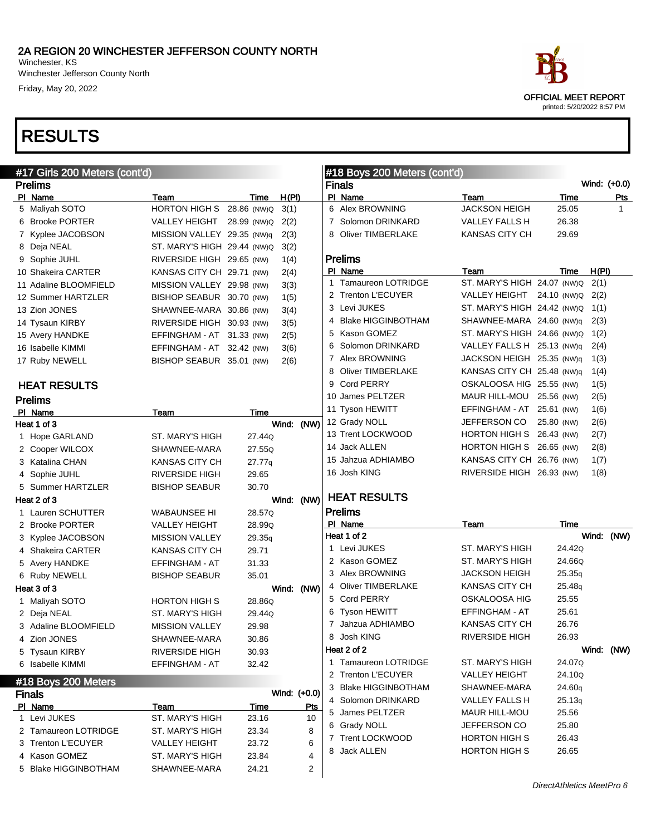Winchester Jefferson County North Friday, May 20, 2022

| #17 Girls 200 Meters (cont'd) |                             |             |              |            | #18 Boys 200 Meters (cont'd) |                          |                                  |            |              |              |
|-------------------------------|-----------------------------|-------------|--------------|------------|------------------------------|--------------------------|----------------------------------|------------|--------------|--------------|
| <b>Prelims</b>                |                             |             |              |            |                              | <b>Finals</b>            |                                  |            | Wind: (+0.0) |              |
| PI Name                       | Team                        | Time        | H(PI)        |            |                              | PI Name                  | Team                             | Time       |              | <u>Pts</u>   |
| 5 Maliyah SOTO                | HORTON HIGH S 28.86 (NW)Q   |             | 3(1)         |            |                              | 6 Alex BROWNING          | JACKSON HEIGH                    | 25.05      |              | $\mathbf{1}$ |
| 6 Brooke PORTER               | VALLEY HEIGHT               | 28.99 (NW)Q | 2(2)         |            |                              | 7 Solomon DRINKARD       | VALLEY FALLS H                   | 26.38      |              |              |
| 7 Kyplee JACOBSON             | MISSION VALLEY 29.35 (NW)q  |             | 2(3)         |            |                              | 8 Oliver TIMBERLAKE      | <b>KANSAS CITY CH</b>            | 29.69      |              |              |
| 8 Deja NEAL                   | ST. MARY'S HIGH 29.44 (NW)Q |             | 3(2)         |            |                              |                          |                                  |            |              |              |
| 9 Sophie JUHL                 | RIVERSIDE HIGH 29.65 (NW)   |             | 1(4)         |            |                              | <b>Prelims</b>           |                                  |            |              |              |
| 10 Shakeira CARTER            | KANSAS CITY CH 29.71 (NW)   |             | 2(4)         |            |                              | PI Name                  | Team                             | Time       | H(PI)        |              |
| 11 Adaline BLOOMFIELD         | MISSION VALLEY 29.98 (NW)   |             | 3(3)         |            |                              | 1 Tamaureon LOTRIDGE     | ST. MARY'S HIGH 24.07 (NW)Q      |            | 2(1)         |              |
| 12 Summer HARTZLER            | BISHOP SEABUR 30.70 (NW)    |             | 1(5)         |            |                              | 2 Trenton L'ECUYER       | VALLEY HEIGHT 24.10 (NW)Q        |            | 2(2)         |              |
| 13 Zion JONES                 | SHAWNEE-MARA 30.86 (NW)     |             | 3(4)         |            |                              | 3 Levi JUKES             | ST. MARY'S HIGH 24.42 (NW)Q 1(1) |            |              |              |
| 14 Tysaun KIRBY               | RIVERSIDE HIGH 30.93 (NW)   |             | 3(5)         |            |                              | 4 Blake HIGGINBOTHAM     | SHAWNEE-MARA 24.60 (NW)q         |            | 2(3)         |              |
| 15 Avery HANDKE               | EFFINGHAM - AT 31.33 (NW)   |             | 2(5)         |            |                              | 5 Kason GOMEZ            | ST. MARY'S HIGH 24.66 (NW)Q      |            | 1(2)         |              |
| 16 Isabelle KIMMI             | EFFINGHAM - AT 32.42 (NW)   |             | 3(6)         |            |                              | 6 Solomon DRINKARD       | VALLEY FALLS H 25.13 (NW)q       |            | 2(4)         |              |
| 17 Ruby NEWELL                | BISHOP SEABUR 35.01 (NW)    |             | 2(6)         |            |                              | 7 Alex BROWNING          | JACKSON HEIGH 25.35 (NW)q        |            | 1(3)         |              |
|                               |                             |             |              |            | 8                            | <b>Oliver TIMBERLAKE</b> | KANSAS CITY CH 25.48 (NW)q       |            | 1(4)         |              |
| <b>HEAT RESULTS</b>           |                             |             |              |            |                              | 9 Cord PERRY             | OSKALOOSA HIG 25.55 (NW)         |            | 1(5)         |              |
| <b>Prelims</b>                |                             |             |              |            |                              | 10 James PELTZER         | MAUR HILL-MOU 25.56 (NW)         |            | 2(5)         |              |
| PI Name                       | Team                        | Time        |              |            |                              | 11 Tyson HEWITT          | EFFINGHAM - AT 25.61 (NW)        |            | 1(6)         |              |
| Heat 1 of 3                   |                             |             | Wind: (NW)   |            |                              | 12 Grady NOLL            | JEFFERSON CO                     | 25.80 (NW) | 2(6)         |              |
| 1 Hope GARLAND                | ST. MARY'S HIGH             | 27.44Q      |              |            |                              | 13 Trent LOCKWOOD        | HORTON HIGH S 26.43 (NW)         |            | 2(7)         |              |
| 2 Cooper WILCOX               | SHAWNEE-MARA                | 27.55Q      |              |            |                              | 14 Jack ALLEN            | HORTON HIGH S 26.65 (NW)         |            | 2(8)         |              |
| 3 Katalina CHAN               | <b>KANSAS CITY CH</b>       | 27.77q      |              |            |                              | 15 Jahzua ADHIAMBO       | KANSAS CITY CH 26.76 (NW)        |            | 1(7)         |              |
| 4 Sophie JUHL                 | <b>RIVERSIDE HIGH</b>       | 29.65       |              |            |                              | 16 Josh KING             | RIVERSIDE HIGH 26.93 (NW)        |            | 1(8)         |              |
| 5 Summer HARTZLER             | <b>BISHOP SEABUR</b>        | 30.70       |              |            |                              |                          |                                  |            |              |              |
| Heat 2 of 3                   |                             |             | Wind: (NW)   |            |                              | <b>HEAT RESULTS</b>      |                                  |            |              |              |
| 1 Lauren SCHUTTER             | WABAUNSEE HI                | 28.57Q      |              |            |                              | <b>Prelims</b>           |                                  |            |              |              |
| 2 Brooke PORTER               | VALLEY HEIGHT               | 28.99Q      |              |            |                              | PI Name                  | Team                             | Time       |              |              |
| 3 Kyplee JACOBSON             | <b>MISSION VALLEY</b>       | 29.35q      |              |            |                              | Heat 1 of 2              |                                  |            | Wind: (NW)   |              |
| 4 Shakeira CARTER             | KANSAS CITY CH              | 29.71       |              |            |                              | 1 Levi JUKES             | ST. MARY'S HIGH                  | 24.42Q     |              |              |
| 5 Avery HANDKE                | EFFINGHAM - AT              | 31.33       |              |            |                              | 2 Kason GOMEZ            | ST. MARY'S HIGH                  | 24.66Q     |              |              |
| 6 Ruby NEWELL                 | <b>BISHOP SEABUR</b>        | 35.01       |              |            |                              | 3 Alex BROWNING          | JACKSON HEIGH                    | 25.35q     |              |              |
| Heat 3 of 3                   |                             |             | Wind: (NW)   |            |                              | 4 Oliver TIMBERLAKE      | KANSAS CITY CH                   | 25.48q     |              |              |
| 1 Maliyah SOTO                | HORTON HIGH S               | 28.86Q      |              |            |                              | 5 Cord PERRY             | OSKALOOSA HIG                    | 25.55      |              |              |
| 2 Deja NEAL                   | ST. MARY'S HIGH             | 29.44Q      |              |            |                              | 6 Tyson HEWITT           | EFFINGHAM - AT                   | 25.61      |              |              |
| 3 Adaline BLOOMFIELD          | <b>MISSION VALLEY</b>       | 29.98       |              |            |                              | 7 Jahzua ADHIAMBO        | KANSAS CITY CH                   | 26.76      |              |              |
| 4 Zion JONES                  | SHAWNEE-MARA                | 30.86       |              |            |                              | 8 Josh KING              | RIVERSIDE HIGH                   | 26.93      |              |              |
| 5 Tysaun KIRBY                | <b>RIVERSIDE HIGH</b>       | 30.93       |              |            |                              | Heat 2 of 2              |                                  |            | Wind: (NW)   |              |
| 6 Isabelle KIMMI              | EFFINGHAM - AT              | 32.42       |              |            |                              | 1 Tamaureon LOTRIDGE     | ST. MARY'S HIGH                  | 24.07Q     |              |              |
|                               |                             |             |              |            |                              | 2 Trenton L'ECUYER       | VALLEY HEIGHT                    | 24.10Q     |              |              |
| #18 Boys 200 Meters           |                             |             |              |            |                              | 3 Blake HIGGINBOTHAM     | SHAWNEE-MARA                     | 24.60q     |              |              |
| <b>Finals</b>                 |                             |             | Wind: (+0.0) |            |                              | 4 Solomon DRINKARD       | VALLEY FALLS H                   | 25.13q     |              |              |
| PI Name                       | Team                        | <u>Time</u> |              | <b>Pts</b> |                              | 5 James PELTZER          | MAUR HILL-MOU                    | 25.56      |              |              |
| 1 Levi JUKES                  | ST. MARY'S HIGH             | 23.16       |              | 10         |                              | 6 Grady NOLL             | JEFFERSON CO                     | 25.80      |              |              |
| 2 Tamaureon LOTRIDGE          | ST. MARY'S HIGH             | 23.34       |              | 8          |                              | 7 Trent LOCKWOOD         | HORTON HIGH S                    | 26.43      |              |              |
| 3 Trenton L'ECUYER            | VALLEY HEIGHT               | 23.72       |              | 6          |                              | 8 Jack ALLEN             | <b>HORTON HIGH S</b>             | 26.65      |              |              |
| 4 Kason GOMEZ                 | ST. MARY'S HIGH             | 23.84       |              | 4          |                              |                          |                                  |            |              |              |
| 5 Blake HIGGINBOTHAM          | SHAWNEE-MARA                | 24.21       |              | 2          |                              |                          |                                  |            |              |              |

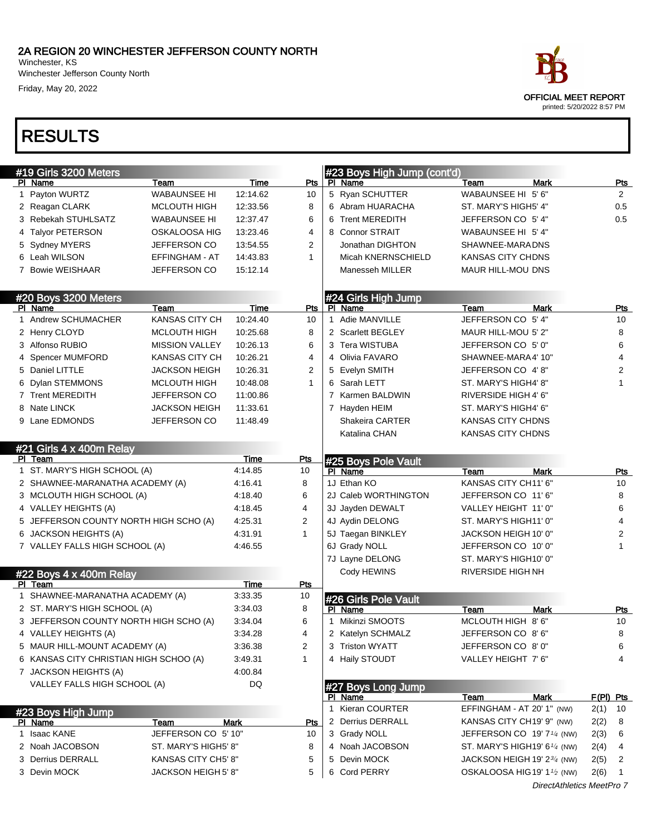Winchester, KS Winchester Jefferson County North Friday, May 20, 2022



| #19 Girls 3200 Meters                  |                       |          |              | #23 Boys High Jump (cont'd) |                                          |                           |             |                |
|----------------------------------------|-----------------------|----------|--------------|-----------------------------|------------------------------------------|---------------------------|-------------|----------------|
| PI Name                                | Team                  | Time     | <b>Pts</b>   | PI Name                     | Team                                     | <b>Mark</b>               |             | <u>Pts</u>     |
| 1 Payton WURTZ                         | <b>WABAUNSEE HI</b>   | 12:14.62 | 10           | 5 Ryan SCHUTTER             | WABAUNSEE HI 5' 6"                       |                           |             | $\overline{2}$ |
| 2 Reagan CLARK                         | <b>MCLOUTH HIGH</b>   | 12:33.56 | 8            | 6 Abram HUARACHA            | ST. MARY'S HIGH5' 4"                     |                           |             | 0.5            |
| 3 Rebekah STUHLSATZ                    | <b>WABAUNSEE HI</b>   | 12:37.47 | 6            | 6 Trent MEREDITH            | JEFFERSON CO 5' 4"                       |                           |             | 0.5            |
| 4 Talyor PETERSON                      | <b>OSKALOOSA HIG</b>  | 13:23.46 | 4            | 8 Connor STRAIT             | WABAUNSEE HI 5'4"                        |                           |             |                |
| 5 Sydney MYERS                         | JEFFERSON CO          | 13:54.55 | 2            | Jonathan DIGHTON            | SHAWNEE-MARADNS                          |                           |             |                |
| 6 Leah WILSON                          | EFFINGHAM - AT        | 14:43.83 | 1            | Micah KNERNSCHIELD          | KANSAS CITY CHDNS                        |                           |             |                |
| 7 Bowie WEISHAAR                       | JEFFERSON CO          | 15:12.14 |              | Manesseh MILLER             | MAUR HILL-MOU DNS                        |                           |             |                |
|                                        |                       |          |              |                             |                                          |                           |             |                |
| #20 Boys 3200 Meters                   |                       |          |              | #24 Girls High Jump         |                                          |                           |             |                |
| PI Name                                | Team                  | Time     | Pts          | PI Name                     | Team                                     | <b>Mark</b>               |             | Pts            |
| 1 Andrew SCHUMACHER                    | KANSAS CITY CH        | 10:24.40 | 10           | 1 Adie MANVILLE             | JEFFERSON CO 5' 4"                       |                           |             | 10             |
| 2 Henry CLOYD                          | <b>MCLOUTH HIGH</b>   | 10:25.68 | 8            | 2 Scarlett BEGLEY           | MAUR HILL-MOU 5' 2"                      |                           |             | 8              |
| 3 Alfonso RUBIO                        | <b>MISSION VALLEY</b> | 10:26.13 | 6            | 3 Tera WISTUBA              | JEFFERSON CO 5' 0"                       |                           |             | 6              |
| 4 Spencer MUMFORD                      | <b>KANSAS CITY CH</b> | 10:26.21 | 4            | 4 Olivia FAVARO             | SHAWNEE-MARA4' 10"                       |                           |             | 4              |
| 5 Daniel LITTLE                        | <b>JACKSON HEIGH</b>  | 10:26.31 | 2            | 5 Evelyn SMITH              | JEFFERSON CO 4'8"                        |                           |             | 2              |
| 6 Dylan STEMMONS                       | <b>MCLOUTH HIGH</b>   | 10:48.08 | 1            | 6 Sarah LETT                | ST. MARY'S HIGH4' 8"                     |                           |             | 1              |
| 7 Trent MEREDITH                       | JEFFERSON CO          | 11:00.86 |              | 7 Karmen BALDWIN            | RIVERSIDE HIGH 4' 6"                     |                           |             |                |
| 8 Nate LINCK                           | <b>JACKSON HEIGH</b>  | 11:33.61 |              | 7 Hayden HEIM               | ST. MARY'S HIGH4' 6"                     |                           |             |                |
| 9 Lane EDMONDS                         | JEFFERSON CO          | 11:48.49 |              | Shakeira CARTER             | KANSAS CITY CHDNS                        |                           |             |                |
|                                        |                       |          |              | Katalina CHAN               | <b>KANSAS CITY CHDNS</b>                 |                           |             |                |
| #21 Girls 4 x 400m Relay               |                       |          |              |                             |                                          |                           |             |                |
| PI Team                                |                       | Time     | <u>Pts</u>   | #25 Boys Pole Vault         |                                          |                           |             |                |
| 1 ST. MARY'S HIGH SCHOOL (A)           |                       | 4:14.85  | 10           | PI Name                     | Team                                     | <b>Mark</b>               |             | Pts            |
| 2 SHAWNEE-MARANATHA ACADEMY (A)        |                       | 4:16.41  | 8            | 1J Ethan KO                 | KANSAS CITY CH11' 6"                     |                           |             | 10             |
| 3 MCLOUTH HIGH SCHOOL (A)              |                       | 4:18.40  | 6            | 2J Caleb WORTHINGTON        | JEFFERSON CO 11' 6"                      |                           |             | 8              |
| 4 VALLEY HEIGHTS (A)                   |                       | 4:18.45  | 4            | 3J Jayden DEWALT            | VALLEY HEIGHT 11' 0"                     |                           |             | 6              |
| 5 JEFFERSON COUNTY NORTH HIGH SCHO (A) |                       | 4:25.31  | 2            | 4J Aydin DELONG             | ST. MARY'S HIGH11' 0"                    |                           |             | 4              |
| 6 JACKSON HEIGHTS (A)                  |                       | 4:31.91  | 1            | 5J Taegan BINKLEY           | JACKSON HEIGH 10' 0"                     |                           |             | 2              |
| 7 VALLEY FALLS HIGH SCHOOL (A)         |                       | 4:46.55  |              | 6J Grady NOLL               | JEFFERSON CO 10' 0"                      |                           |             | 1              |
|                                        |                       |          |              | 7J Layne DELONG             | ST. MARY'S HIGH10' 0"                    |                           |             |                |
| #22 Boys 4 x 400m Relay                |                       |          |              | Cody HEWINS                 | <b>RIVERSIDE HIGH NH</b>                 |                           |             |                |
| PI Team                                |                       | Time     | Pts          |                             |                                          |                           |             |                |
| 1 SHAWNEE-MARANATHA ACADEMY (A)        |                       | 3:33.35  | 10           | #26 Girls Pole Vault        |                                          |                           |             |                |
| 2 ST. MARY'S HIGH SCHOOL (A)           |                       | 3:34.03  | 8            | PI Name                     | Team                                     | <b>Mark</b>               |             | <u>Pts</u>     |
| 3 JEFFERSON COUNTY NORTH HIGH SCHO (A) |                       | 3:34.04  | 6            | 1 Mikinzi SMOOTS            | MCLOUTH HIGH 8' 6"                       |                           |             | 10             |
| 4 VALLEY HEIGHTS (A)                   |                       | 3:34.28  | 4            | 2 Katelyn SCHMALZ           | JEFFERSON CO 8' 6"                       |                           |             | 8              |
| 5 MAUR HILL-MOUNT ACADEMY (A)          |                       | 3:36.38  | 2            | 3 Triston WYATT             | JEFFERSON CO 8' 0"                       |                           |             | 6              |
| 6 KANSAS CITY CHRISTIAN HIGH SCHOO (A) |                       | 3:49.31  | $\mathbf{1}$ | 4 Haily STOUDT              | VALLEY HEIGHT 7' 6"                      |                           |             | 4              |
| 7 JACKSON HEIGHTS (A)                  |                       | 4:00.84  |              |                             |                                          |                           |             |                |
| VALLEY FALLS HIGH SCHOOL (A)           |                       | DQ       |              | #27 Boys Long Jump          |                                          |                           |             |                |
|                                        |                       |          |              | PI Name                     | Team                                     | <b>Mark</b>               | $F(PI)$ Pts |                |
| #23 Boys High Jump                     |                       |          |              | 1 Kieran COURTER            | EFFINGHAM - AT 20' 1" (NW)               |                           | 2(1)        | 10             |
| PI Name                                | <u>Team</u>           | Mark     | <b>Pts</b>   | 2 Derrius DERRALL           | KANSAS CITY CH19' 9" (NW)                |                           | 2(2)        | 8              |
| 1 Isaac KANE                           | JEFFERSON CO 5' 10"   |          | 10           | 3 Grady NOLL                | JEFFERSON CO 19' 71/4 (NW)               |                           | 2(3)        | 6              |
| 2 Noah JACOBSON                        | ST. MARY'S HIGH5' 8"  |          | 8            | 4 Noah JACOBSON             | ST. MARY'S HIGH19' $6\frac{1}{4}$ (NW)   |                           | 2(4)        | 4              |
| 3 Derrius DERRALL                      | KANSAS CITY CH5' 8"   |          | 5            | 5 Devin MOCK                | JACKSON HEIGH 19' 234 (NW)               |                           | 2(5)        | 2              |
| 3 Devin MOCK                           | JACKSON HEIGH 5' 8"   |          | 5            | 6 Cord PERRY                | OSKALOOSA HIG 19' 1 <sup>1</sup> /2 (NW) |                           | 2(6)        | -1             |
|                                        |                       |          |              |                             |                                          | DirectAthletics MeetPro 7 |             |                |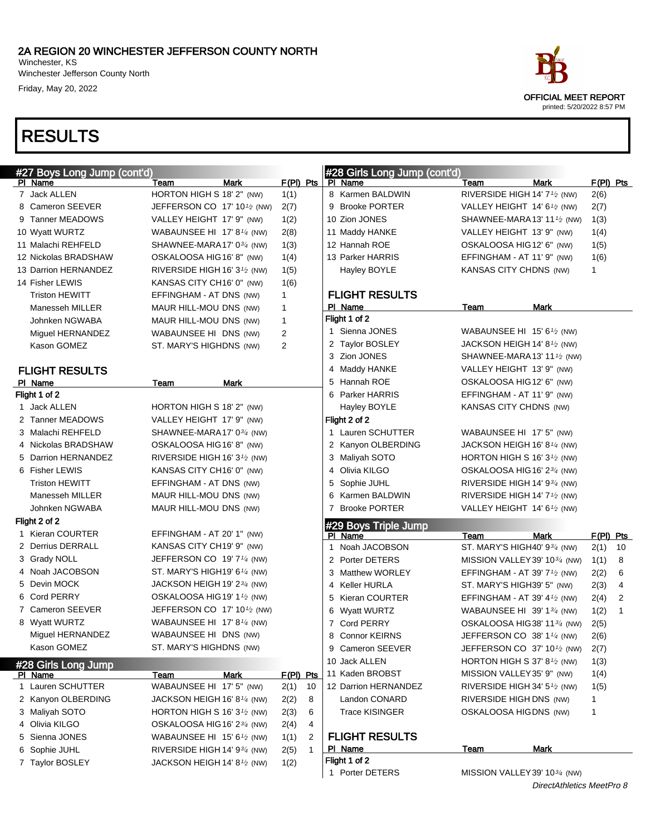Winchester Jefferson County North Friday, May 20, 2022



| #27 Boys Long Jump (cont'd) |                                                       |      |                |    | #28 Girls Long Jump (cont'd) |                                                       |                           |              |                |
|-----------------------------|-------------------------------------------------------|------|----------------|----|------------------------------|-------------------------------------------------------|---------------------------|--------------|----------------|
| PI Name                     | Team                                                  | Mark | $F(PI)$ Pts    |    | PI Name                      | Team                                                  | Mark                      | $F(PI)$ Pts  |                |
| 7 Jack ALLEN                | HORTON HIGH S 18' 2" (NW)                             |      | 1(1)           |    | 8 Karmen BALDWIN             | RIVERSIDE HIGH 14' 7 <sup>1</sup> / <sub>2</sub> (NW) |                           | 2(6)         |                |
| 8 Cameron SEEVER            | JEFFERSON CO 17' 10 $\frac{1}{2}$ (NW)                |      | 2(7)           |    | 9 Brooke PORTER              | VALLEY HEIGHT 14' 6 <sup>1</sup> /2 (NW)              |                           | 2(7)         |                |
| 9 Tanner MEADOWS            | VALLEY HEIGHT 17' 9" (NW)                             |      | 1(2)           |    | 10 Zion JONES                | SHAWNEE-MARA 13' 11 $\frac{1}{2}$ (NW)                |                           | 1(3)         |                |
| 10 Wyatt WURTZ              | WABAUNSEE HI 17' 8 <sup>1/4</sup> (NW)                |      | 2(8)           |    | 11 Maddy HANKE               | VALLEY HEIGHT 13' 9" (NW)                             |                           | 1(4)         |                |
| 11 Malachi REHFELD          | SHAWNEE-MARA17' 0 <sup>3/4</sup> (NW)                 |      | 1(3)           |    | 12 Hannah ROE                | OSKALOOSA HIG12' 6" (NW)                              |                           | 1(5)         |                |
| 12 Nickolas BRADSHAW        | OSKALOOSA HIG16' 8" (NW)                              |      | 1(4)           |    | 13 Parker HARRIS             | EFFINGHAM - AT 11' 9" (NW)                            |                           | 1(6)         |                |
| 13 Darrion HERNANDEZ        | RIVERSIDE HIGH 16' 3 <sup>1</sup> / <sub>2</sub> (NW) |      | 1(5)           |    | Hayley BOYLE                 | KANSAS CITY CHDNS (NW)                                |                           | $\mathbf{1}$ |                |
| 14 Fisher LEWIS             | KANSAS CITY CH16' 0" (NW)                             |      | 1(6)           |    |                              |                                                       |                           |              |                |
| <b>Triston HEWITT</b>       | EFFINGHAM - AT DNS (NW)                               |      | 1              |    | <b>FLIGHT RESULTS</b>        |                                                       |                           |              |                |
| Manesseh MILLER             | MAUR HILL-MOU DNS (NW)                                |      | 1              |    | PI Name                      | Team                                                  | Mark                      |              |                |
| Johnken NGWABA              | MAUR HILL-MOU DNS (NW)                                |      | $\mathbf{1}$   |    | Flight 1 of 2                |                                                       |                           |              |                |
| Miguel HERNANDEZ            | WABAUNSEE HI DNS (NW)                                 |      | 2              |    | 1 Sienna JONES               | WABAUNSEE HI 15' 6 $\frac{1}{2}$ (NW)                 |                           |              |                |
| Kason GOMEZ                 | ST. MARY'S HIGHDNS (NW)                               |      | $\overline{2}$ |    | 2 Taylor BOSLEY              | JACKSON HEIGH 14' 81⁄2 (NW)                           |                           |              |                |
|                             |                                                       |      |                |    | 3 Zion JONES                 | SHAWNEE-MARA 13' 11 $\frac{1}{2}$ (NW)                |                           |              |                |
| <b>FLIGHT RESULTS</b>       |                                                       |      |                |    | 4 Maddy HANKE                | VALLEY HEIGHT 13' 9" (NW)                             |                           |              |                |
| PI Name                     | Team                                                  | Mark |                |    | 5 Hannah ROE                 | OSKALOOSA HIG12' 6" (NW)                              |                           |              |                |
| Flight 1 of 2               |                                                       |      |                |    | 6 Parker HARRIS              | EFFINGHAM - AT 11' 9" (NW)                            |                           |              |                |
| 1 Jack ALLEN                | HORTON HIGH S 18' 2" (NW)                             |      |                |    | Hayley BOYLE                 | KANSAS CITY CHDNS (NW)                                |                           |              |                |
| 2 Tanner MEADOWS            | VALLEY HEIGHT 17' 9" (NW)                             |      |                |    | Flight 2 of 2                |                                                       |                           |              |                |
| 3 Malachi REHFELD           | SHAWNEE-MARA17' 034 (NW)                              |      |                |    | 1 Lauren SCHUTTER            | WABAUNSEE HI 17' 5" (NW)                              |                           |              |                |
| 4 Nickolas BRADSHAW         | OSKALOOSA HIG16' 8" (NW)                              |      |                |    | 2 Kanyon OLBERDING           | JACKSON HEIGH 16' 81/4 (NW)                           |                           |              |                |
| 5 Darrion HERNANDEZ         | RIVERSIDE HIGH 16' $3\frac{1}{2}$ (NW)                |      |                |    | 3 Maliyah SOTO               | HORTON HIGH S 16' 3 $\frac{1}{2}$ (NW)                |                           |              |                |
| 6 Fisher LEWIS              | KANSAS CITY CH16' 0" (NW)                             |      |                |    | 4 Olivia KILGO               | OSKALOOSA HIG 16' 2 <sup>3/4</sup> (NW)               |                           |              |                |
| <b>Triston HEWITT</b>       | EFFINGHAM - AT DNS (NW)                               |      |                |    | 5 Sophie JUHL                | RIVERSIDE HIGH 14' $9\frac{3}{4}$ (NW)                |                           |              |                |
| Manesseh MILLER             | MAUR HILL-MOU DNS (NW)                                |      |                |    | 6 Karmen BALDWIN             | RIVERSIDE HIGH 14' $7\frac{1}{2}$ (NW)                |                           |              |                |
| Johnken NGWABA              | MAUR HILL-MOU DNS (NW)                                |      |                |    | 7 Brooke PORTER              | VALLEY HEIGHT 14' 61⁄2 (NW)                           |                           |              |                |
| Flight 2 of 2               |                                                       |      |                |    | #29 Boys Triple Jump         |                                                       |                           |              |                |
| 1 Kieran COURTER            | EFFINGHAM - AT 20' 1" (NW)                            |      |                |    | PI Name                      | Team                                                  | Mark                      | $F(PI)$ Pts  |                |
| 2 Derrius DERRALL           | KANSAS CITY CH19' 9" (NW)                             |      |                |    | 1 Noah JACOBSON              | ST. MARY'S HIGH40' 93/4 (NW)                          |                           | 2(1)         | - 10           |
| 3 Grady NOLL                | JEFFERSON CO 19' 7 <sup>1/4</sup> (NW)                |      |                |    | 2 Porter DETERS              | MISSION VALLEY 39' 10 <sup>3/4</sup> (NW)             |                           | 1(1)         | -8             |
| 4 Noah JACOBSON             | ST. MARY'S HIGH19' 6 $\frac{1}{4}$ (NW)               |      |                |    | 3 Matthew WORLEY             | EFFINGHAM - AT 39' $7\frac{1}{2}$ (NW)                |                           | 2(2)         | 6              |
| 5 Devin MOCK                | JACKSON HEIGH 19' 23/4 (NW)                           |      |                |    | 4 Keller HURLA               | ST. MARY'S HIGH39' 5" (NW)                            |                           | 2(3)         | $\overline{4}$ |
| 6 Cord PERRY                | OSKALOOSA HIG19' 11/2 (NW)                            |      |                |    | 5 Kieran COURTER             | EFFINGHAM - AT 39' 4 $\frac{1}{2}$ (NW)               |                           | 2(4)         | 2              |
| 7 Cameron SEEVER            | JEFFERSON CO 17' 10 $\frac{1}{2}$ (NW)                |      |                |    | 6 Wyatt WURTZ                | WABAUNSEE HI 39' 1 $\frac{3}{4}$ (NW)                 |                           | 1(2)         | 1              |
| 8 Wyatt WURTZ               | WABAUNSEE HI 17' 8 $\frac{1}{4}$ (NW)                 |      |                |    | 7 Cord PERRY                 | OSKALOOSA HIG38' 1134 (NW)                            |                           | 2(5)         |                |
| Miguel HERNANDEZ            | WABAUNSEE HI DNS (NW)                                 |      |                |    | 8 Connor KEIRNS              | JEFFERSON CO 38' 11/4 (NW)                            |                           | 2(6)         |                |
| Kason GOMEZ                 | ST. MARY'S HIGHDNS (NW)                               |      |                |    | 9 Cameron SEEVER             | JEFFERSON CO 37' 101/2 (NW)                           |                           | 2(7)         |                |
| #28 Girls Long Jump         |                                                       |      |                |    | 10 Jack ALLEN                | HORTON HIGH S 37' 8 $1/2$ (NW)                        |                           | 1(3)         |                |
| PI Name                     | Team                                                  | Mark | $F(PI)$ Pts    |    | 11 Kaden BROBST              | MISSION VALLEY 35' 9" (NW)                            |                           | 1(4)         |                |
| 1 Lauren SCHUTTER           | WABAUNSEE HI 17' 5" (NW)                              |      | 2(1)           | 10 | 12 Darrion HERNANDEZ         | RIVERSIDE HIGH 34' 5 <sup>1</sup> /2 (NW)             |                           | 1(5)         |                |
| 2 Kanyon OLBERDING          | JACKSON HEIGH 16' 8 <sup>1/4</sup> (NW)               |      | 2(2)           | 8  | Landon CONARD                | RIVERSIDE HIGH DNS (NW)                               |                           | 1            |                |
| 3 Maliyah SOTO              | HORTON HIGH S 16' $3\frac{1}{2}$ (NW)                 |      | 2(3)           | 6  | <b>Trace KISINGER</b>        | OSKALOOSA HIGDNS (NW)                                 |                           | 1            |                |
| 4 Olivia KILGO              | OSKALOOSA HIG16' 23/4 (NW)                            |      | 2(4)           | 4  |                              |                                                       |                           |              |                |
| 5 Sienna JONES              | WABAUNSEE HI 15' 61/2 (NW)                            |      | 1(1)           | 2  | <b>FLIGHT RESULTS</b>        |                                                       |                           |              |                |
| 6 Sophie JUHL               | RIVERSIDE HIGH 14' 934 (NW)                           |      | 2(5)           | 1  | PI Name                      | <b>Team</b>                                           | Mark                      |              |                |
| 7 Taylor BOSLEY             | JACKSON HEIGH 14' 8 <sup>1</sup> /2 (NW)              |      | 1(2)           |    | Flight 1 of 2                |                                                       |                           |              |                |
|                             |                                                       |      |                |    | 1 Porter DETERS              | MISSION VALLEY 39' 10 <sup>3/4</sup> (NW)             |                           |              |                |
|                             |                                                       |      |                |    |                              |                                                       | DirectAthletics MeetPro 8 |              |                |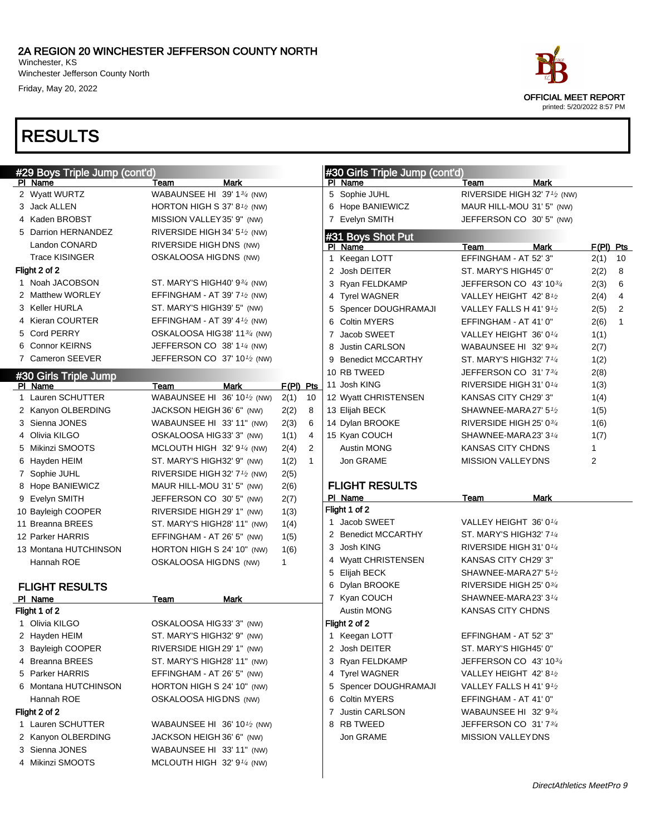Winchester, KS Winchester Jefferson County North Friday, May 20, 2022



| ace                                                       |
|-----------------------------------------------------------|
| <b>OFFICIAL MEET REPORT</b><br>printed: 5/20/2022 8:57 PM |

#### #29 Boys Triple Jump (cont'd) PI Name Team Mark 2 Wyatt WURTZ WABAUNSEE HI 39' 1<sup>3</sup>/4 (NW) 3 Jack ALLEN HORTON HIGH S 37' 8<sup>1</sup>/2 (NW) 4 Kaden BROBST MISSION VALLEY35' 9" (NW) 5 Darrion HERNANDEZ RIVERSIDE HIGH 34' 5<sup>1</sup>/2 (NW) Landon CONARD RIVERSIDE HIGH DNS (NW) Trace KISINGER OSKALOOSA HIGDNS (NW) Flight 2 of 2 1 Noah JACOBSON ST. MARY'S HIGH40' 93/4 (NW) 2 Matthew WORLEY EFFINGHAM - AT 39' 7<sup>1</sup>/2 (NW) 3 Keller HURLA ST. MARY'S HIGH39' 5" (NW) 4 Kieran COURTER EFFINGHAM - AT 39' 4<sup>1/2</sup> (NW) 5 Cord PERRY **OSKALOOSA HIG38' 113/4 (NW)** 6 Connor KEIRNS JEFFERSON CO 38' 11/4 (NW) 7 Cameron SEEVER JEFFERSON CO 37' 10<sup>1</sup>/2 (NW) **#30 Girls Triple Jump** PI Name Team Mark F(PI) Pts 1 Lauren SCHUTTER WABAUNSEE HI 36' 101/2 (NW) 2(1) 10 2 Kanyon OLBERDING JACKSON HEIGH 36' 6" (NW) 2(2) 8 3 Sienna JONES WABAUNSEE HI 33' 11" (NW) 2(3) 6 4 Olivia KILGO OSKALOOSA HIG33' 3" (NW) 1(1) 4 5 Mikinzi SMOOTS MCLOUTH HIGH 32' 9<sup>1/4</sup> (NW) 2(4) 2 6 Hayden HEIM ST. MARY'S HIGH32' 9" (NW) 1(2) 1 7 Sophie JUHL RIVERSIDE HIGH 32' 7<sup>1</sup>/2 (NW) 2(5) 8 Hope BANIEWICZ MAUR HILL-MOU 31' 5" (NW) 2(6) 9 Evelyn SMITH JEFFERSON CO 30' 5" (NW) 2(7) 10 Bayleigh COOPER RIVERSIDE HIGH 29' 1" (NW) 1(3) 11 Breanna BREES ST. MARY'S HIGH28' 11" (NW) 1(4) 12 Parker HARRIS EFFINGHAM - AT 26' 5" (NW) 1(5) 13 Montana HUTCHINSON HORTON HIGH S 24' 10" (NW) 1(6) Hannah ROE **OSKALOOSA HIGDNS** (NW) 1 FLIGHT RESULTS PI Name **Team** Mark Flight 1 of 2 1 Olivia KILGO **OSKALOOSA HIG33' 3"** (NW) 2 Hayden HEIM ST. MARY'S HIGH32' 9" (NW) 3 Bayleigh COOPER RIVERSIDE HIGH 29' 1" (NW) 4 Breanna BREES ST. MARY'S HIGH28' 11" (NW) 5 Parker HARRIS EFFINGHAM - AT 26' 5" (NW) 6 Montana HUTCHINSON HORTON HIGH S 24' 10" (NW) Hannah ROE OSKALOOSA HIGDNS (NW) Flight 2 of 2 1 Lauren SCHUTTER WABAUNSEE HI 36' 101/2 (NW) 2 Kanyon OLBERDING JACKSON HEIGH 36' 6" (NW) 3 Sienna JONES WABAUNSEE HI 33' 11" (NW) 4 Mikinzi SMOOTS MCLOUTH HIGH 32' 9<sup>1/4</sup> (NW) #30 Girls Triple Jump (cont'd) PI Name Team Team Mark 5 Sophie JUHL RIVERSIDE HIGH 32' 7<sup>1</sup>/2 (NW) 6 Hope BANIEWICZ MAUR HILL-MOU 31' 5" (NW) 7 Evelyn SMITH JEFFERSON CO 30' 5" (NW) #31 Boys Shot Put Pl Name Team Mark F(Pl) Pts 1 Keegan LOTT EFFINGHAM - AT 52' 3" 2(1) 10 2 Josh DEITER ST. MARY'S HIGH45' 0" 2(2) 8 3 Ryan FELDKAMP JEFFERSON CO 43' 103/<sup>4</sup> 2(3) 6 4 Tyrel WAGNER VALLEY HEIGHT 42' 8<sup>1/2</sup> 2(4) 4 5 Spencer DOUGHRAMAJI VALLEY FALLS H 41' 9<sup>1</sup>/2 2(5) 2 6 Coltin MYERS EFFINGHAM - AT 41' 0" 2(6) 1 7 Jacob SWEET VALLEY HEIGHT  $36' 0<sup>1</sup>/<sub>4</sub>$  1(1) 8 Justin CARLSON WABAUNSEE HI 32' 9<sup>3/4</sup> 2(7) 9 Benedict MCCARTHY ST. MARY'S HIGH32' 7<sup>1/4</sup> 1(2) 10 RB TWEED JEFFERSON CO 31' 7<sup>3/4</sup> 2(8) 11 Josh KING RIVERSIDE HIGH 31' 0<sup>1/4</sup> 1(3) 12 Wyatt CHRISTENSEN KANSAS CITY CH29' 3" 1(4) 13 Elijah BECK SHAWNEE-MARA27' 5<sup>1</sup>/2 1(5) 14 Dylan BROOKE RIVERSIDE HIGH 25' 0<sup>3/4</sup> 1(6) 15 Kyan COUCH SHAWNEE-MARA23' 3<sup>1/4</sup> 1(7) Austin MONG **KANSAS CITY CHDNS** Jon GRAME MISSION VALLEYDNS 2 FLIGHT RESULTS PI Name Team Mark Flight 1 of 2 1 Jacob SWEET VALLEY HEIGHT 36' 0<sup>1/4</sup> 2 Benedict MCCARTHY ST. MARY'S HIGH32' 7<sup>1/4</sup> 3 Josh KING RIVERSIDE HIGH 31' 01/<sup>4</sup> 4 Wyatt CHRISTENSEN KANSAS CITY CH29' 3" 5 Elijah BECK SHAWNEE-MARA27' 5<sup>1/2</sup> 6 Dylan BROOKE RIVERSIDE HIGH 25' 03/<sup>4</sup> 7 Kyan COUCH SHAWNEE-MARA23' 3<sup>1/4</sup> Austin MONG KANSAS CITY CHDNS Flight 2 of 2 1 Keegan LOTT EFFINGHAM - AT 52' 3" 2 Josh DEITER ST. MARY'S HIGH45' 0" 3 Ryan FELDKAMP JEFFERSON CO 43' 103/<sup>4</sup> 4 Tyrel WAGNER VALLEY HEIGHT 42' 8<sup>1/2</sup> 5 Spencer DOUGHRAMAJI VALLEY FALLS H 41' 9<sup>1/2</sup> 6 Coltin MYERS EFFINGHAM - AT 41' 0" 7 Justin CARLSON WABAUNSEE HI 32' 934 8 RB TWEED JEFFERSON CO 31' 734 Jon GRAME MISSION VALLEY DNS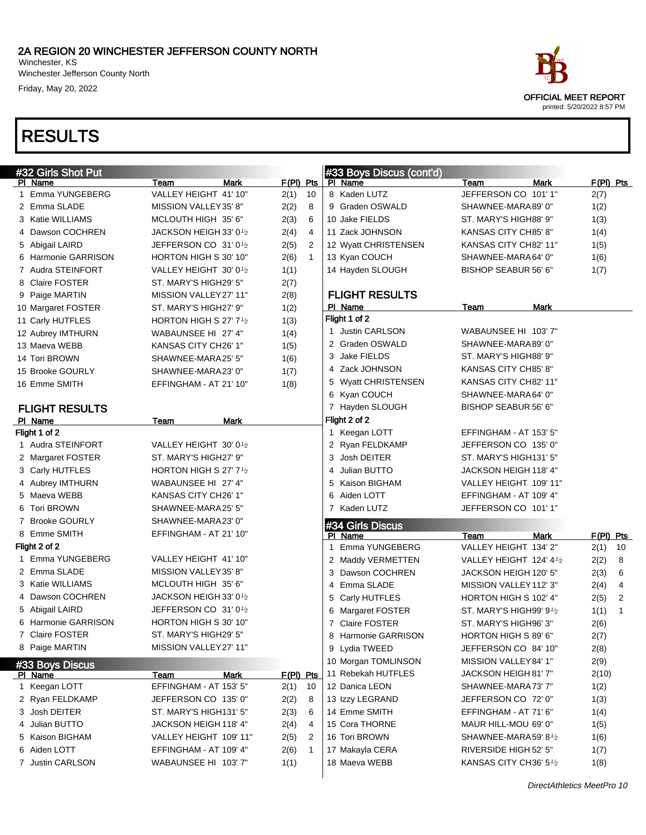Winchester Jefferson County North Friday, May 20, 2022

| ace.                       |  |
|----------------------------|--|
| OFFICIAL MEET REPORT       |  |
| printed: 5/20/2022 8:57 PM |  |

| #32 Girls Shot Put    |                                                 |                        | #33 Boys Discus (cont'd) |                         |                        |
|-----------------------|-------------------------------------------------|------------------------|--------------------------|-------------------------|------------------------|
| PI Name               | <b>Mark</b><br>Team                             | $F(PI)$ Pts            | PI Name                  | Mark<br>Team            | $F(PI)$ Pts            |
| 1 Emma YUNGEBERG      | VALLEY HEIGHT 41' 10"                           | 10<br>2(1)             | 8 Kaden LUTZ             | JEFFERSON CO 101'1"     | 2(7)                   |
| 2 Emma SLADE          | MISSION VALLEY35' 8"                            | 2(2)<br>8              | 9 Graden OSWALD          | SHAWNEE-MARA89' 0"      | 1(2)                   |
| 3 Katie WILLIAMS      | MCLOUTH HIGH 35' 6"                             | 2(3)<br>6              | 10 Jake FIELDS           | ST. MARY'S HIGH88' 9"   | 1(3)                   |
| 4 Dawson COCHREN      | JACKSON HEIGH 33' 0 $\frac{1}{2}$               | 2(4)<br>$\overline{4}$ | 11 Zack JOHNSON          | KANSAS CITY CH85' 8"    | 1(4)                   |
| 5 Abigail LAIRD       | JEFFERSON CO $31'0\frac{1}{2}$                  | 2(5)<br>$\overline{2}$ | 12 Wyatt CHRISTENSEN     | KANSAS CITY CH82' 11"   | 1(5)                   |
| 6 Harmonie GARRISON   | HORTON HIGH S 30' 10"                           | 2(6)<br>$\mathbf{1}$   | 13 Kyan COUCH            | SHAWNEE-MARA64' 0"      | 1(6)                   |
| 7 Audra STEINFORT     | VALLEY HEIGHT 30' 0 <sup>1</sup> /2             | 1(1)                   | 14 Hayden SLOUGH         | BISHOP SEABUR 56' 6"    | 1(7)                   |
| 8 Claire FOSTER       | ST. MARY'S HIGH29' 5"                           | 2(7)                   |                          |                         |                        |
| 9 Paige MARTIN        | MISSION VALLEY27' 11"                           | 2(8)                   | <b>FLIGHT RESULTS</b>    |                         |                        |
| 10 Margaret FOSTER    | ST. MARY'S HIGH27' 9"                           | 1(2)                   | PI Name                  | Team<br>Mark            |                        |
| 11 Carly HUTFLES      | HORTON HIGH S 27' $7\frac{1}{2}$                | 1(3)                   | Flight 1 of 2            |                         |                        |
| 12 Aubrey IMTHURN     | WABAUNSEE HI 27' 4"                             | 1(4)                   | 1 Justin CARLSON         | WABAUNSEE HI 103' 7"    |                        |
| 13 Maeva WEBB         | KANSAS CITY CH26' 1"                            | 1(5)                   | 2 Graden OSWALD          | SHAWNEE-MARA89' 0"      |                        |
| 14 Tori BROWN         | SHAWNEE-MARA25' 5"                              | 1(6)                   | 3 Jake FIELDS            | ST. MARY'S HIGH88' 9"   |                        |
| 15 Brooke GOURLY      | SHAWNEE-MARA23' 0"                              | 1(7)                   | 4 Zack JOHNSON           | KANSAS CITY CH85' 8"    |                        |
| 16 Emme SMITH         | EFFINGHAM - AT 21' 10"                          | 1(8)                   | 5 Wyatt CHRISTENSEN      | KANSAS CITY CH82' 11"   |                        |
|                       |                                                 |                        | 6 Kyan COUCH             | SHAWNEE-MARA64' 0"      |                        |
| <b>FLIGHT RESULTS</b> |                                                 |                        | 7 Hayden SLOUGH          | BISHOP SEABUR 56' 6"    |                        |
| PI Name               | Team<br>Mark                                    |                        | Flight 2 of 2            |                         |                        |
| Flight 1 of 2         |                                                 |                        | 1 Keegan LOTT            | EFFINGHAM - AT 153' 5"  |                        |
| 1 Audra STEINFORT     | VALLEY HEIGHT 30' 01/2                          |                        | 2 Ryan FELDKAMP          | JEFFERSON CO 135' 0"    |                        |
| 2 Margaret FOSTER     | ST. MARY'S HIGH27' 9"                           |                        | 3 Josh DEITER            | ST. MARY'S HIGH131' 5"  |                        |
| 3 Carly HUTFLES       | HORTON HIGH S 27' 7 <sup>1</sup> / <sub>2</sub> |                        | 4 Julian BUTTO           | JACKSON HEIGH 118' 4"   |                        |
| 4 Aubrey IMTHURN      | WABAUNSEE HI 27' 4"                             |                        | 5 Kaison BIGHAM          | VALLEY HEIGHT 109' 11"  |                        |
| 5 Maeva WEBB          | KANSAS CITY CH26' 1"                            |                        | 6 Aiden LOTT             | EFFINGHAM - AT 109' 4"  |                        |
| 6 Tori BROWN          | SHAWNEE-MARA25' 5"                              |                        | 7 Kaden LUTZ             | JEFFERSON CO 101'1"     |                        |
| 7 Brooke GOURLY       | SHAWNEE-MARA23' 0"                              |                        | #34 Girls Discus         |                         |                        |
| 8 Emme SMITH          | EFFINGHAM - AT 21' 10"                          |                        | PI Name                  | <b>Mark</b><br>Team     | $F(PI)$ Pts            |
| Flight 2 of 2         |                                                 |                        | 1 Emma YUNGEBERG         | VALLEY HEIGHT 134' 2"   | 10<br>2(1)             |
| 1 Emma YUNGEBERG      | VALLEY HEIGHT 41' 10"                           |                        | 2 Maddy VERMETTEN        | VALLEY HEIGHT 124' 41/2 | 8<br>2(2)              |
| 2 Emma SLADE          | MISSION VALLEY35' 8"                            |                        | 3 Dawson COCHREN         | JACKSON HEIGH 120' 5"   | 6<br>2(3)              |
| 3 Katie WILLIAMS      | MCLOUTH HIGH 35' 6"                             |                        | 4 Emma SLADE             | MISSION VALLEY 112' 3"  | 2(4)<br>4              |
| 4 Dawson COCHREN      | JACKSON HEIGH 33' 01/2                          |                        | 5 Carly HUTFLES          | HORTON HIGH S 102' 4"   | $\overline{c}$<br>2(5) |
| 5 Abigail LAIRD       | JEFFERSON CO 31'0 <sup>1/2</sup>                |                        | 6 Margaret FOSTER        | ST. MARY'S HIGH99' 91/2 | 1(1)<br>1              |
| 6 Harmonie GARRISON   | HORTON HIGH S 30' 10"                           |                        | 7 Claire FOSTER          | ST. MARY'S HIGH96' 3"   | 2(6)                   |
| 7 Claire FOSTER       | ST. MARY'S HIGH29' 5"                           |                        | 8 Harmonie GARRISON      | HORTON HIGH S 89' 6"    | 2(7)                   |
| 8 Paige MARTIN        | MISSION VALLEY27' 11"                           |                        | 9 Lydia TWEED            | JEFFERSON CO 84' 10"    | 2(8)                   |
| #33 Boys Discus       |                                                 |                        | 10 Morgan TOMLINSON      | MISSION VALLEY 84' 1"   | 2(9)                   |
| PI Name               | Team<br><b>Mark</b>                             | $F(PI)$ Pts            | 11 Rebekah HUTFLES       | JACKSON HEIGH 81' 7"    | 2(10)                  |
| 1 Keegan LOTT         | EFFINGHAM - AT 153' 5"                          | 2(1)<br>10             | 12 Danica LEON           | SHAWNEE-MARA73' 7"      | 1(2)                   |
| 2 Ryan FELDKAMP       | JEFFERSON CO 135' 0"                            | 2(2)<br>8              | 13 Izzy LEGRAND          | JEFFERSON CO 72' 0"     | 1(3)                   |
| 3 Josh DEITER         | ST. MARY'S HIGH131' 5"                          | 2(3)<br>6              | 14 Emme SMITH            | EFFINGHAM - AT 71' 6"   | 1(4)                   |
| 4 Julian BUTTO        | JACKSON HEIGH 118' 4"                           | 2(4)<br>4              | 15 Cora THORNE           | MAUR HILL-MOU 69' 0"    | 1(5)                   |
| 5 Kaison BIGHAM       | VALLEY HEIGHT 109' 11"                          | 2(5)<br>2              | 16 Tori BROWN            | SHAWNEE-MARA59' 81/2    | 1(6)                   |
| 6 Aiden LOTT          | EFFINGHAM - AT 109' 4"                          | 2(6)<br>$\mathbf 1$    | 17 Makayla CERA          | RIVERSIDE HIGH 52' 5"   | 1(7)                   |
| 7 Justin CARLSON      | WABAUNSEE HI 103' 7"                            | 1(1)                   | 18 Maeva WEBB            | KANSAS CITY CH36' 51/2  | 1(8)                   |
|                       |                                                 |                        |                          |                         |                        |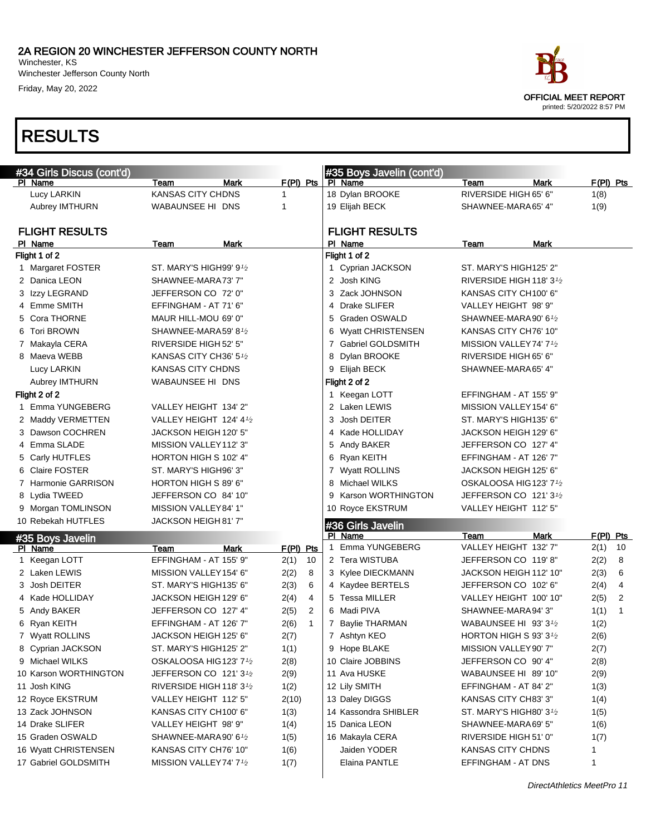Winchester, KS Winchester Jefferson County North Friday, May 20, 2022

## RESULTS

| #34 Girls Discus (cont'd) |                                     |                        | #35 Boys Javelin (cont'd) |                                       |                        |
|---------------------------|-------------------------------------|------------------------|---------------------------|---------------------------------------|------------------------|
| PI Name                   | Mark<br>Team                        | $F(PI)$ Pts            | PI Name                   | Mark<br>Team                          | $F(PI)$ Pts            |
| Lucy LARKIN               | KANSAS CITY CHDNS                   | 1                      | 18 Dylan BROOKE           | RIVERSIDE HIGH 65' 6"                 | 1(8)                   |
| Aubrey IMTHURN            | WABAUNSEE HI DNS                    | 1                      | 19 Elijah BECK            | SHAWNEE-MARA 65' 4"                   | 1(9)                   |
| <b>FLIGHT RESULTS</b>     |                                     |                        | <b>FLIGHT RESULTS</b>     |                                       |                        |
| PI Name                   | <b>Mark</b><br>Team                 |                        | Pl Name                   | Mark<br>Team                          |                        |
| Flight 1 of 2             |                                     |                        | Flight 1 of 2             |                                       |                        |
| 1 Margaret FOSTER         | ST. MARY'S HIGH99' 91⁄2             |                        | 1 Cyprian JACKSON         | ST. MARY'S HIGH125' 2"                |                        |
| 2 Danica LEON             | SHAWNEE-MARA73' 7"                  |                        | 2 Josh KING               | RIVERSIDE HIGH 118' 3 <sup>1</sup> /2 |                        |
| 3 Izzy LEGRAND            | JEFFERSON CO 72' 0"                 |                        | 3 Zack JOHNSON            | KANSAS CITY CH100' 6"                 |                        |
| 4 Emme SMITH              | EFFINGHAM - AT 71' 6"               |                        | 4 Drake SLIFER            | VALLEY HEIGHT 98' 9"                  |                        |
| 5 Cora THORNE             | MAUR HILL-MOU 69' 0"                |                        | 5 Graden OSWALD           | SHAWNEE-MARA 90' 61/2                 |                        |
| 6 Tori BROWN              | SHAWNEE-MARA59' 81⁄2                |                        | 6 Wyatt CHRISTENSEN       | KANSAS CITY CH76' 10"                 |                        |
| 7 Makayla CERA            | RIVERSIDE HIGH 52' 5"               |                        | 7 Gabriel GOLDSMITH       | MISSION VALLEY74' 7 <sup>1</sup> /2   |                        |
| 8 Maeva WEBB              | KANSAS CITY CH36' 5 <sup>1</sup> /2 |                        | 8 Dylan BROOKE            | RIVERSIDE HIGH 65' 6"                 |                        |
| Lucy LARKIN               | KANSAS CITY CHDNS                   |                        | 9 Elijah BECK             | SHAWNEE-MARA65' 4"                    |                        |
| Aubrey IMTHURN            | WABAUNSEE HI DNS                    |                        | Flight 2 of 2             |                                       |                        |
| Flight 2 of 2             |                                     |                        | 1 Keegan LOTT             | EFFINGHAM - AT 155' 9"                |                        |
| 1 Emma YUNGEBERG          | VALLEY HEIGHT 134' 2"               |                        | 2 Laken LEWIS             | MISSION VALLEY 154' 6"                |                        |
| 2 Maddy VERMETTEN         | VALLEY HEIGHT 124' 41/2             |                        | 3 Josh DEITER             | ST. MARY'S HIGH135' 6"                |                        |
| 3 Dawson COCHREN          | JACKSON HEIGH 120′ 5″               |                        | 4 Kade HOLLIDAY           | JACKSON HEIGH 129' 6"                 |                        |
| 4 Emma SLADE              | MISSION VALLEY112' 3"               |                        | 5 Andy BAKER              | JEFFERSON CO 127' 4"                  |                        |
| 5 Carly HUTFLES           | HORTON HIGH S 102' 4"               |                        | 6 Ryan KEITH              | EFFINGHAM - AT 126' 7"                |                        |
| 6 Claire FOSTER           | ST. MARY'S HIGH96' 3"               |                        | 7 Wyatt ROLLINS           | JACKSON HEIGH 125' 6"                 |                        |
| 7 Harmonie GARRISON       | HORTON HIGH S 89' 6"                |                        | 8 Michael WILKS           | OSKALOOSA HIG 123' 7 <sup>1</sup> /2  |                        |
| 8 Lydia TWEED             | JEFFERSON CO 84' 10"                |                        | 9 Karson WORTHINGTON      | JEFFERSON CO 121'3 <sup>1</sup> /2    |                        |
| 9 Morgan TOMLINSON        | MISSION VALLEY 84' 1"               |                        | 10 Royce EKSTRUM          | VALLEY HEIGHT 112' 5"                 |                        |
| 10 Rebekah HUTFLES        | JACKSON HEIGH 81' 7"                |                        | #36 Girls Javelin         |                                       |                        |
| #35 Boys Javelin          |                                     |                        | PI Name                   | <b>Mark</b><br>Team                   | $F(PI)$ Pts            |
| PI Name                   | <b>Mark</b><br>Team                 | F(PI) Pts              | 1 Emma YUNGEBERG          | VALLEY HEIGHT 132' 7"                 | 2(1)<br>10             |
| 1 Keegan LOTT             | EFFINGHAM - AT 155' 9"              | 2(1)<br>10             | 2 Tera WISTUBA            | JEFFERSON CO 119'8"                   | 2(2)<br>8              |
| 2 Laken LEWIS             | MISSION VALLEY 154' 6"              | 2(2)<br>8              | 3 Kylee DIECKMANN         | JACKSON HEIGH 112' 10"                | 6<br>2(3)              |
| 3 Josh DEITER             | ST. MARY'S HIGH135' 6"              | 2(3)<br>6              | 4 Kaydee BERTELS          | JEFFERSON CO 102' 6"                  | 4<br>2(4)              |
| 4 Kade HOLLIDAY           | JACKSON HEIGH 129' 6"               | 4<br>2(4)              | 5 Tessa MILLER            | VALLEY HEIGHT 100' 10"                | $\overline{2}$<br>2(5) |
| 5 Andy BAKER              | JEFFERSON CO 127' 4"                | $\overline{2}$<br>2(5) | 6 Madi PIVA               | SHAWNEE-MARA94'3"                     | 1(1)<br>$\mathbf{1}$   |
| 6 Ryan KEITH              | EFFINGHAM - AT 126' 7"              | 2(6)<br>$\mathbf{1}$   | 7 Baylie THARMAN          | WABAUNSEE HI 93' 31/2                 | 1(2)                   |
| 7 Wyatt ROLLINS           | JACKSON HEIGH 125′ 6″               | 2(7)                   | 7 Ashtyn KEO              | HORTON HIGH S 93' $3\frac{1}{2}$      | 2(6)                   |
| 8 Cyprian JACKSON         | ST. MARY'S HIGH125' 2"              | 1(1)                   | 9 Hope BLAKE              | MISSION VALLEY 90' 7"                 | 2(7)                   |
| 9 Michael WILKS           | OSKALOOSA HIG123' 71/2              | 2(8)                   | 10 Claire JOBBINS         | JEFFERSON CO 90' 4"                   | 2(8)                   |
| 10 Karson WORTHINGTON     | JEFFERSON CO 121'31/2               | 2(9)                   | 11 Ava HUSKE              | WABAUNSEE HI 89' 10"                  | 2(9)                   |
| 11 Josh KING              | RIVERSIDE HIGH 118' 3 $\frac{1}{2}$ | 1(2)                   | 12 Lily SMITH             | EFFINGHAM - AT 84' 2"                 | 1(3)                   |
| 12 Royce EKSTRUM          | VALLEY HEIGHT 112' 5"               | 2(10)                  | 13 Daley DIGGS            | KANSAS CITY CH83' 3"                  | 1(4)                   |
| 13 Zack JOHNSON           | KANSAS CITY CH100' 6"               | 1(3)                   | 14 Kassondra SHIBLER      | ST. MARY'S HIGH80' 31/2               | 1(5)                   |
| 14 Drake SLIFER           | VALLEY HEIGHT 98' 9"                | 1(4)                   | 15 Danica LEON            | SHAWNEE-MARA69' 5"                    | 1(6)                   |
| 15 Graden OSWALD          | SHAWNEE-MARA90' 61⁄2                | 1(5)                   | 16 Makayla CERA           | RIVERSIDE HIGH 51' 0"                 | 1(7)                   |
| 16 Wyatt CHRISTENSEN      | KANSAS CITY CH76' 10"               | 1(6)                   | Jaiden YODER              | KANSAS CITY CHDNS                     | 1                      |
| 17 Gabriel GOLDSMITH      | MISSION VALLEY74' 71/2              | 1(7)                   | Elaina PANTLE             | EFFINGHAM - AT DNS                    | 1                      |
|                           |                                     |                        |                           |                                       |                        |

 $\overline{\mathbf{u}}$ 

OFFICIAL MEET REPORT

printed: 5/20/2022 8:57 PM